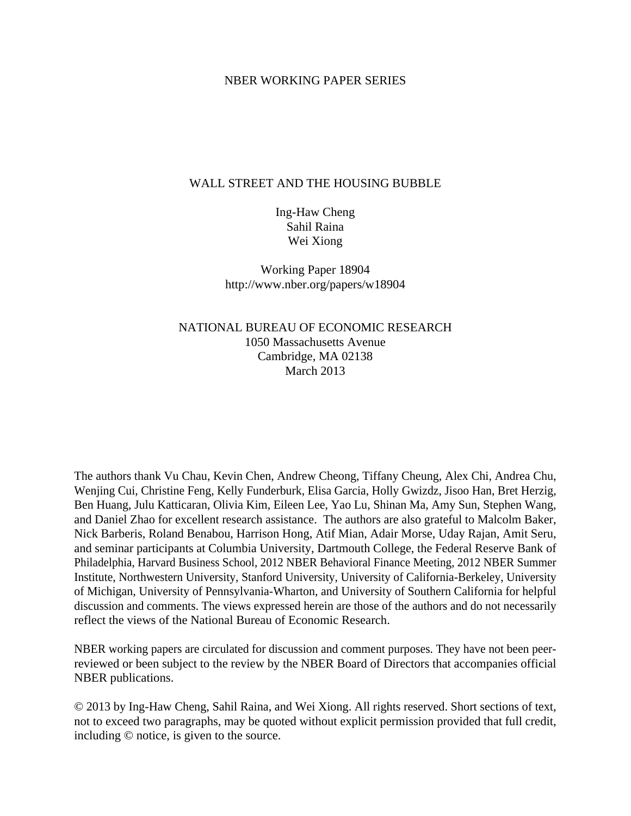## NBER WORKING PAPER SERIES

## WALL STREET AND THE HOUSING BUBBLE

Ing-Haw Cheng Sahil Raina Wei Xiong

Working Paper 18904 http://www.nber.org/papers/w18904

NATIONAL BUREAU OF ECONOMIC RESEARCH 1050 Massachusetts Avenue Cambridge, MA 02138 March 2013

The authors thank Vu Chau, Kevin Chen, Andrew Cheong, Tiffany Cheung, Alex Chi, Andrea Chu, Wenjing Cui, Christine Feng, Kelly Funderburk, Elisa Garcia, Holly Gwizdz, Jisoo Han, Bret Herzig, Ben Huang, Julu Katticaran, Olivia Kim, Eileen Lee, Yao Lu, Shinan Ma, Amy Sun, Stephen Wang, and Daniel Zhao for excellent research assistance. The authors are also grateful to Malcolm Baker, Nick Barberis, Roland Benabou, Harrison Hong, Atif Mian, Adair Morse, Uday Rajan, Amit Seru, and seminar participants at Columbia University, Dartmouth College, the Federal Reserve Bank of Philadelphia, Harvard Business School, 2012 NBER Behavioral Finance Meeting, 2012 NBER Summer Institute, Northwestern University, Stanford University, University of California-Berkeley, University of Michigan, University of Pennsylvania-Wharton, and University of Southern California for helpful discussion and comments. The views expressed herein are those of the authors and do not necessarily reflect the views of the National Bureau of Economic Research.

NBER working papers are circulated for discussion and comment purposes. They have not been peerreviewed or been subject to the review by the NBER Board of Directors that accompanies official NBER publications.

© 2013 by Ing-Haw Cheng, Sahil Raina, and Wei Xiong. All rights reserved. Short sections of text, not to exceed two paragraphs, may be quoted without explicit permission provided that full credit, including © notice, is given to the source.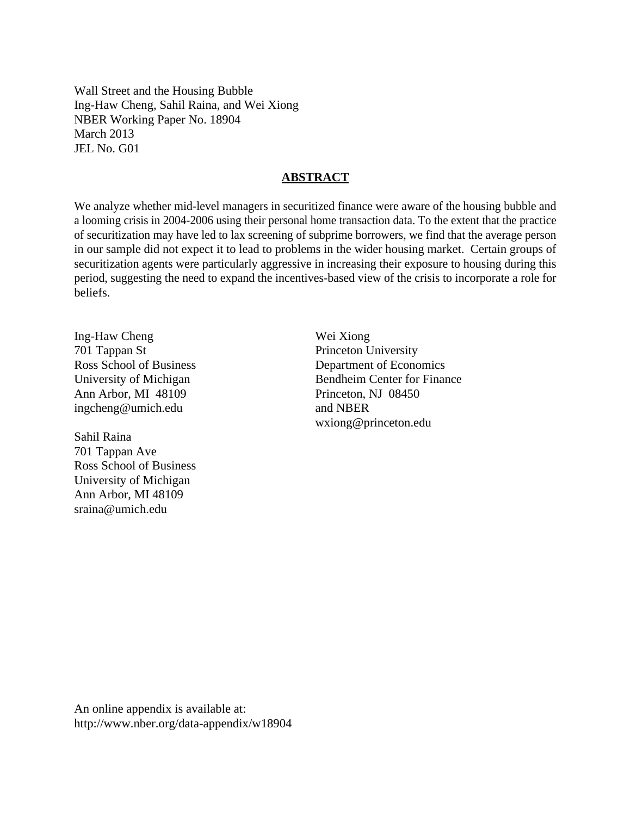Wall Street and the Housing Bubble Ing-Haw Cheng, Sahil Raina, and Wei Xiong NBER Working Paper No. 18904 March 2013 JEL No. G01

# **ABSTRACT**

We analyze whether mid-level managers in securitized finance were aware of the housing bubble and a looming crisis in 2004-2006 using their personal home transaction data. To the extent that the practice of securitization may have led to lax screening of subprime borrowers, we find that the average person in our sample did not expect it to lead to problems in the wider housing market. Certain groups of securitization agents were particularly aggressive in increasing their exposure to housing during this period, suggesting the need to expand the incentives-based view of the crisis to incorporate a role for beliefs.

Ing-Haw Cheng 701 Tappan St Ross School of Business University of Michigan Ann Arbor, MI 48109 ingcheng@umich.edu

Sahil Raina 701 Tappan Ave Ross School of Business University of Michigan Ann Arbor, MI 48109 sraina@umich.edu

Wei Xiong Princeton University Department of Economics Bendheim Center for Finance Princeton, NJ 08450 and NBER wxiong@princeton.edu

An online appendix is available at: http://www.nber.org/data-appendix/w18904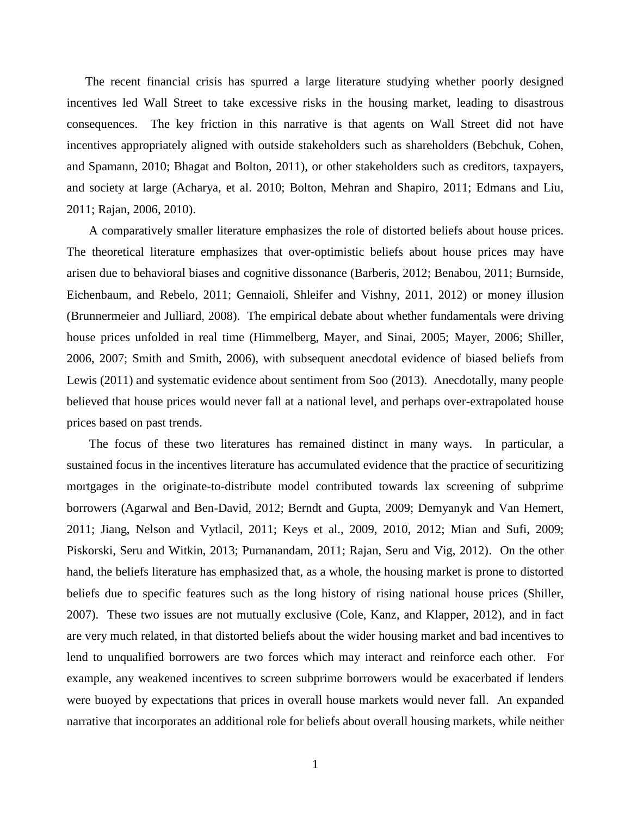The recent financial crisis has spurred a large literature studying whether poorly designed incentives led Wall Street to take excessive risks in the housing market, leading to disastrous consequences. The key friction in this narrative is that agents on Wall Street did not have incentives appropriately aligned with outside stakeholders such as shareholders (Bebchuk, Cohen, and Spamann, 2010; Bhagat and Bolton, 2011), or other stakeholders such as creditors, taxpayers, and society at large (Acharya, et al. 2010; Bolton, Mehran and Shapiro, 2011; Edmans and Liu, 2011; Rajan, 2006, 2010).

A comparatively smaller literature emphasizes the role of distorted beliefs about house prices. The theoretical literature emphasizes that over-optimistic beliefs about house prices may have arisen due to behavioral biases and cognitive dissonance (Barberis, 2012; Benabou, 2011; Burnside, Eichenbaum, and Rebelo, 2011; Gennaioli, Shleifer and Vishny, 2011, 2012) or money illusion (Brunnermeier and Julliard, 2008). The empirical debate about whether fundamentals were driving house prices unfolded in real time (Himmelberg, Mayer, and Sinai, 2005; Mayer, 2006; Shiller, 2006, 2007; Smith and Smith, 2006), with subsequent anecdotal evidence of biased beliefs from Lewis (2011) and systematic evidence about sentiment from Soo (2013). Anecdotally, many people believed that house prices would never fall at a national level, and perhaps over-extrapolated house prices based on past trends.

The focus of these two literatures has remained distinct in many ways. In particular, a sustained focus in the incentives literature has accumulated evidence that the practice of securitizing mortgages in the originate-to-distribute model contributed towards lax screening of subprime borrowers (Agarwal and Ben-David, 2012; Berndt and Gupta, 2009; Demyanyk and Van Hemert, 2011; Jiang, Nelson and Vytlacil, 2011; Keys et al., 2009, 2010, 2012; Mian and Sufi, 2009; Piskorski, Seru and Witkin, 2013; Purnanandam, 2011; Rajan, Seru and Vig, 2012). On the other hand, the beliefs literature has emphasized that, as a whole, the housing market is prone to distorted beliefs due to specific features such as the long history of rising national house prices (Shiller, 2007). These two issues are not mutually exclusive (Cole, Kanz, and Klapper, 2012), and in fact are very much related, in that distorted beliefs about the wider housing market and bad incentives to lend to unqualified borrowers are two forces which may interact and reinforce each other. For example, any weakened incentives to screen subprime borrowers would be exacerbated if lenders were buoyed by expectations that prices in overall house markets would never fall. An expanded narrative that incorporates an additional role for beliefs about overall housing markets, while neither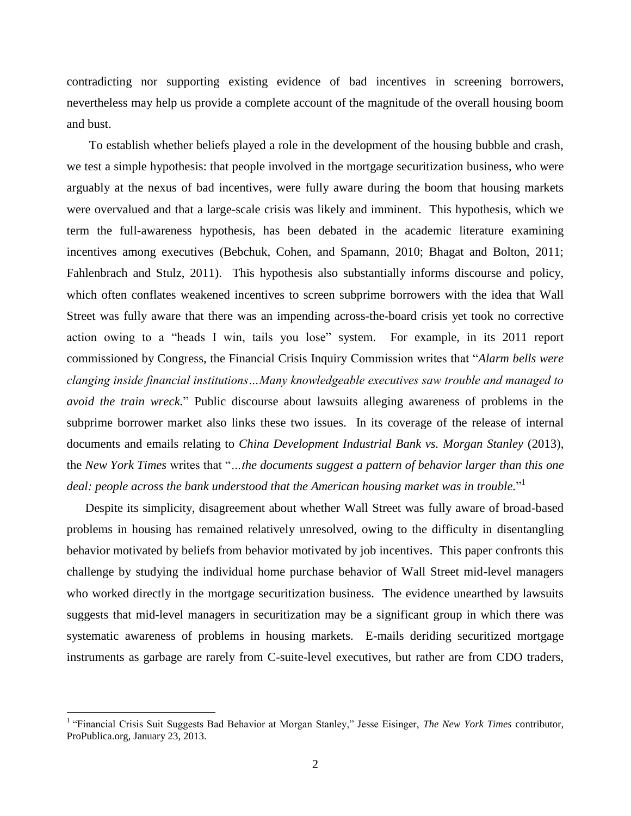contradicting nor supporting existing evidence of bad incentives in screening borrowers, nevertheless may help us provide a complete account of the magnitude of the overall housing boom and bust.

To establish whether beliefs played a role in the development of the housing bubble and crash, we test a simple hypothesis: that people involved in the mortgage securitization business, who were arguably at the nexus of bad incentives, were fully aware during the boom that housing markets were overvalued and that a large-scale crisis was likely and imminent. This hypothesis, which we term the full-awareness hypothesis, has been debated in the academic literature examining incentives among executives (Bebchuk, Cohen, and Spamann, 2010; Bhagat and Bolton, 2011; Fahlenbrach and Stulz, 2011). This hypothesis also substantially informs discourse and policy, which often conflates weakened incentives to screen subprime borrowers with the idea that Wall Street was fully aware that there was an impending across-the-board crisis yet took no corrective action owing to a "heads I win, tails you lose" system. For example, in its 2011 report commissioned by Congress, the Financial Crisis Inquiry Commission writes that "*Alarm bells were clanging inside financial institutions…Many knowledgeable executives saw trouble and managed to avoid the train wreck.*" Public discourse about lawsuits alleging awareness of problems in the subprime borrower market also links these two issues. In its coverage of the release of internal documents and emails relating to *China Development Industrial Bank vs. Morgan Stanley* (2013), the *New York Times* writes that "*…the documents suggest a pattern of behavior larger than this one deal: people across the bank understood that the American housing market was in trouble.*" 1

Despite its simplicity, disagreement about whether Wall Street was fully aware of broad-based problems in housing has remained relatively unresolved, owing to the difficulty in disentangling behavior motivated by beliefs from behavior motivated by job incentives. This paper confronts this challenge by studying the individual home purchase behavior of Wall Street mid-level managers who worked directly in the mortgage securitization business. The evidence unearthed by lawsuits suggests that mid-level managers in securitization may be a significant group in which there was systematic awareness of problems in housing markets. E-mails deriding securitized mortgage instruments as garbage are rarely from C-suite-level executives, but rather are from CDO traders,

 1 "Financial Crisis Suit Suggests Bad Behavior at Morgan Stanley," Jesse Eisinger, *The New York Times* contributor, ProPublica.org, January 23, 2013.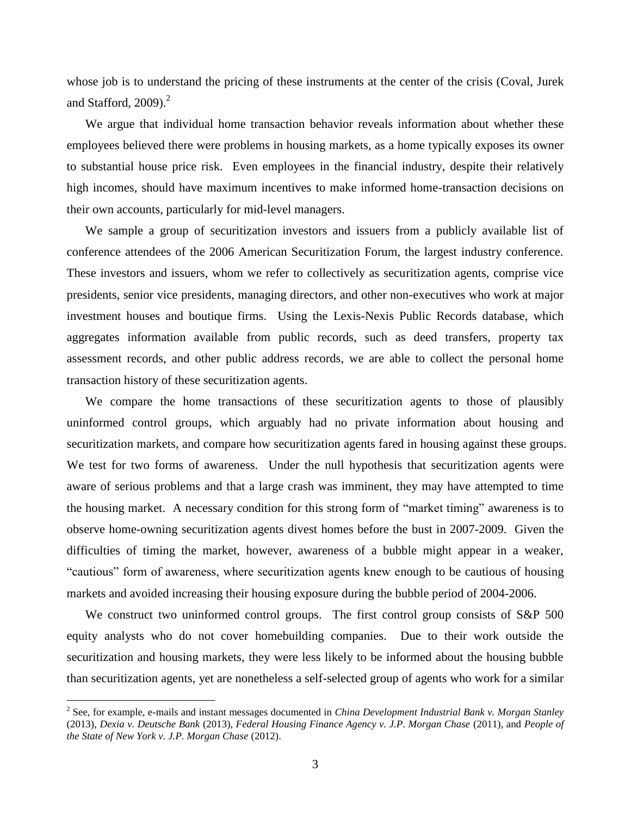whose job is to understand the pricing of these instruments at the center of the crisis (Coval, Jurek and Stafford, 2009). 2

We argue that individual home transaction behavior reveals information about whether these employees believed there were problems in housing markets, as a home typically exposes its owner to substantial house price risk. Even employees in the financial industry, despite their relatively high incomes, should have maximum incentives to make informed home-transaction decisions on their own accounts, particularly for mid-level managers.

We sample a group of securitization investors and issuers from a publicly available list of conference attendees of the 2006 American Securitization Forum, the largest industry conference. These investors and issuers, whom we refer to collectively as securitization agents, comprise vice presidents, senior vice presidents, managing directors, and other non-executives who work at major investment houses and boutique firms. Using the Lexis-Nexis Public Records database, which aggregates information available from public records, such as deed transfers, property tax assessment records, and other public address records, we are able to collect the personal home transaction history of these securitization agents.

We compare the home transactions of these securitization agents to those of plausibly uninformed control groups, which arguably had no private information about housing and securitization markets, and compare how securitization agents fared in housing against these groups. We test for two forms of awareness. Under the null hypothesis that securitization agents were aware of serious problems and that a large crash was imminent, they may have attempted to time the housing market. A necessary condition for this strong form of "market timing" awareness is to observe home-owning securitization agents divest homes before the bust in 2007-2009. Given the difficulties of timing the market, however, awareness of a bubble might appear in a weaker, "cautious" form of awareness, where securitization agents knew enough to be cautious of housing markets and avoided increasing their housing exposure during the bubble period of 2004-2006.

We construct two uninformed control groups. The first control group consists of S&P 500 equity analysts who do not cover homebuilding companies. Due to their work outside the securitization and housing markets, they were less likely to be informed about the housing bubble than securitization agents, yet are nonetheless a self-selected group of agents who work for a similar

<sup>2</sup> See, for example, e-mails and instant messages documented in *China Development Industrial Bank v. Morgan Stanley* (2013), *Dexia v. Deutsche Bank* (2013), *Federal Housing Finance Agency v. J.P. Morgan Chase* (2011), and *People of the State of New York v. J.P. Morgan Chase* (2012).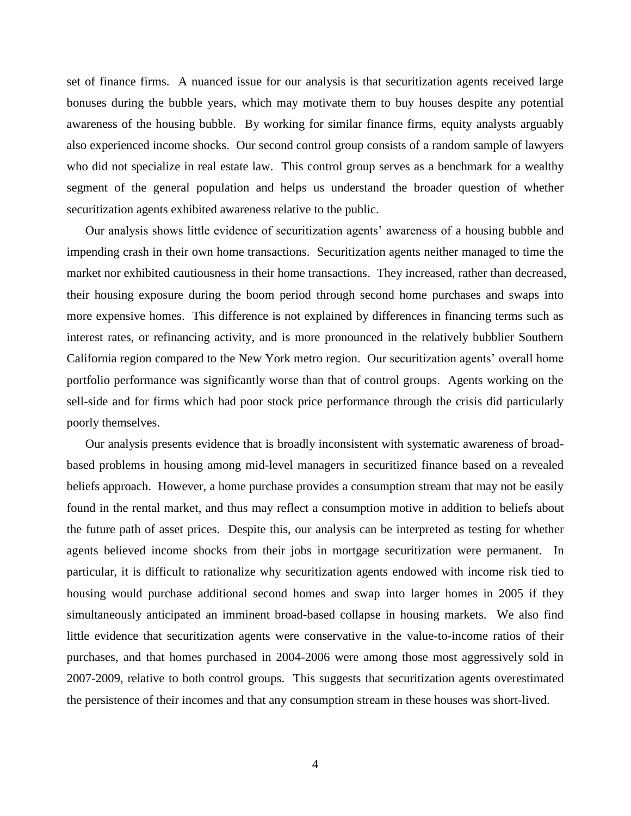set of finance firms. A nuanced issue for our analysis is that securitization agents received large bonuses during the bubble years, which may motivate them to buy houses despite any potential awareness of the housing bubble. By working for similar finance firms, equity analysts arguably also experienced income shocks. Our second control group consists of a random sample of lawyers who did not specialize in real estate law. This control group serves as a benchmark for a wealthy segment of the general population and helps us understand the broader question of whether securitization agents exhibited awareness relative to the public.

Our analysis shows little evidence of securitization agents' awareness of a housing bubble and impending crash in their own home transactions. Securitization agents neither managed to time the market nor exhibited cautiousness in their home transactions. They increased, rather than decreased, their housing exposure during the boom period through second home purchases and swaps into more expensive homes. This difference is not explained by differences in financing terms such as interest rates, or refinancing activity, and is more pronounced in the relatively bubblier Southern California region compared to the New York metro region. Our securitization agents' overall home portfolio performance was significantly worse than that of control groups. Agents working on the sell-side and for firms which had poor stock price performance through the crisis did particularly poorly themselves.

Our analysis presents evidence that is broadly inconsistent with systematic awareness of broadbased problems in housing among mid-level managers in securitized finance based on a revealed beliefs approach. However, a home purchase provides a consumption stream that may not be easily found in the rental market, and thus may reflect a consumption motive in addition to beliefs about the future path of asset prices. Despite this, our analysis can be interpreted as testing for whether agents believed income shocks from their jobs in mortgage securitization were permanent. In particular, it is difficult to rationalize why securitization agents endowed with income risk tied to housing would purchase additional second homes and swap into larger homes in 2005 if they simultaneously anticipated an imminent broad-based collapse in housing markets. We also find little evidence that securitization agents were conservative in the value-to-income ratios of their purchases, and that homes purchased in 2004-2006 were among those most aggressively sold in 2007-2009, relative to both control groups. This suggests that securitization agents overestimated the persistence of their incomes and that any consumption stream in these houses was short-lived.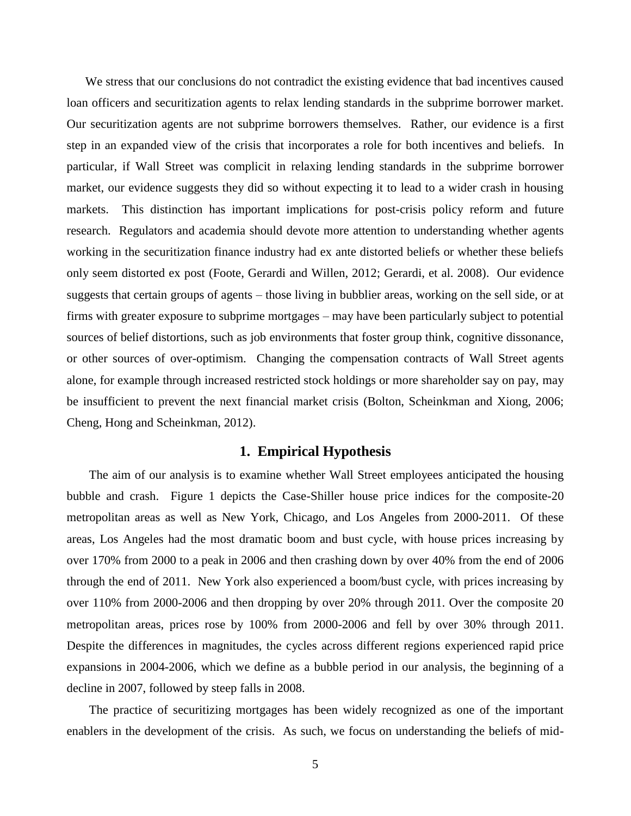We stress that our conclusions do not contradict the existing evidence that bad incentives caused loan officers and securitization agents to relax lending standards in the subprime borrower market. Our securitization agents are not subprime borrowers themselves. Rather, our evidence is a first step in an expanded view of the crisis that incorporates a role for both incentives and beliefs. In particular, if Wall Street was complicit in relaxing lending standards in the subprime borrower market, our evidence suggests they did so without expecting it to lead to a wider crash in housing markets. This distinction has important implications for post-crisis policy reform and future research. Regulators and academia should devote more attention to understanding whether agents working in the securitization finance industry had ex ante distorted beliefs or whether these beliefs only seem distorted ex post (Foote, Gerardi and Willen, 2012; Gerardi, et al. 2008). Our evidence suggests that certain groups of agents – those living in bubblier areas, working on the sell side, or at firms with greater exposure to subprime mortgages – may have been particularly subject to potential sources of belief distortions, such as job environments that foster group think, cognitive dissonance, or other sources of over-optimism. Changing the compensation contracts of Wall Street agents alone, for example through increased restricted stock holdings or more shareholder say on pay, may be insufficient to prevent the next financial market crisis (Bolton, Scheinkman and Xiong, 2006; Cheng, Hong and Scheinkman, 2012).

# **1. Empirical Hypothesis**

The aim of our analysis is to examine whether Wall Street employees anticipated the housing bubble and crash. Figure 1 depicts the Case-Shiller house price indices for the composite-20 metropolitan areas as well as New York, Chicago, and Los Angeles from 2000-2011. Of these areas, Los Angeles had the most dramatic boom and bust cycle, with house prices increasing by over 170% from 2000 to a peak in 2006 and then crashing down by over 40% from the end of 2006 through the end of 2011. New York also experienced a boom/bust cycle, with prices increasing by over 110% from 2000-2006 and then dropping by over 20% through 2011. Over the composite 20 metropolitan areas, prices rose by 100% from 2000-2006 and fell by over 30% through 2011. Despite the differences in magnitudes, the cycles across different regions experienced rapid price expansions in 2004-2006, which we define as a bubble period in our analysis, the beginning of a decline in 2007, followed by steep falls in 2008.

The practice of securitizing mortgages has been widely recognized as one of the important enablers in the development of the crisis. As such, we focus on understanding the beliefs of mid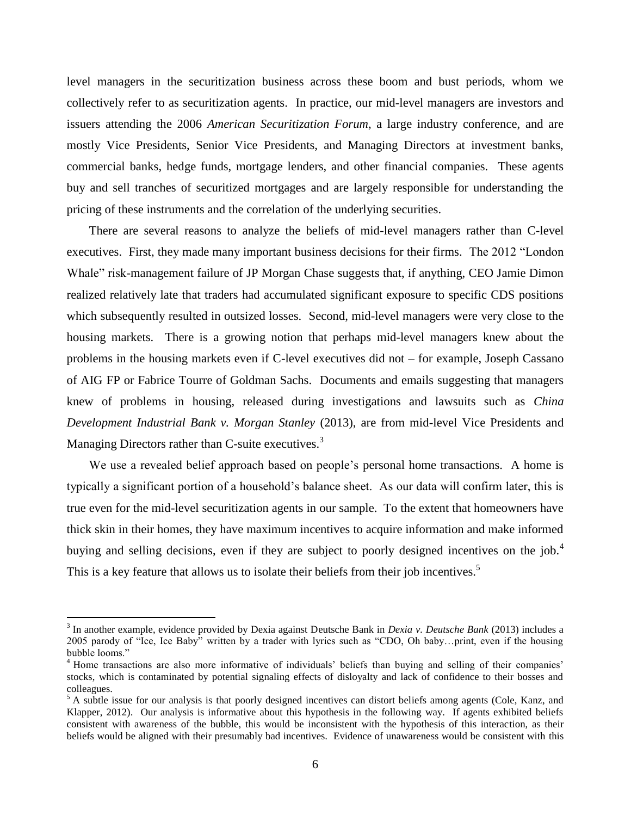level managers in the securitization business across these boom and bust periods, whom we collectively refer to as securitization agents. In practice, our mid-level managers are investors and issuers attending the 2006 *American Securitization Forum*, a large industry conference, and are mostly Vice Presidents, Senior Vice Presidents, and Managing Directors at investment banks, commercial banks, hedge funds, mortgage lenders, and other financial companies. These agents buy and sell tranches of securitized mortgages and are largely responsible for understanding the pricing of these instruments and the correlation of the underlying securities.

There are several reasons to analyze the beliefs of mid-level managers rather than C-level executives. First, they made many important business decisions for their firms. The 2012 "London Whale" risk-management failure of JP Morgan Chase suggests that, if anything, CEO Jamie Dimon realized relatively late that traders had accumulated significant exposure to specific CDS positions which subsequently resulted in outsized losses. Second, mid-level managers were very close to the housing markets. There is a growing notion that perhaps mid-level managers knew about the problems in the housing markets even if C-level executives did not – for example, Joseph Cassano of AIG FP or Fabrice Tourre of Goldman Sachs. Documents and emails suggesting that managers knew of problems in housing, released during investigations and lawsuits such as *China Development Industrial Bank v. Morgan Stanley* (2013), are from mid-level Vice Presidents and Managing Directors rather than C-suite executives.<sup>3</sup>

We use a revealed belief approach based on people's personal home transactions. A home is typically a significant portion of a household's balance sheet. As our data will confirm later, this is true even for the mid-level securitization agents in our sample. To the extent that homeowners have thick skin in their homes, they have maximum incentives to acquire information and make informed buying and selling decisions, even if they are subject to poorly designed incentives on the job.<sup>4</sup> This is a key feature that allows us to isolate their beliefs from their job incentives.<sup>5</sup>

<sup>3</sup> In another example, evidence provided by Dexia against Deutsche Bank in *Dexia v. Deutsche Bank* (2013) includes a 2005 parody of "Ice, Ice Baby" written by a trader with lyrics such as "CDO, Oh baby…print, even if the housing bubble looms."

<sup>4</sup> Home transactions are also more informative of individuals' beliefs than buying and selling of their companies' stocks, which is contaminated by potential signaling effects of disloyalty and lack of confidence to their bosses and colleagues.

 $<sup>5</sup>$  A subtle issue for our analysis is that poorly designed incentives can distort beliefs among agents (Cole, Kanz, and</sup> Klapper, 2012). Our analysis is informative about this hypothesis in the following way. If agents exhibited beliefs consistent with awareness of the bubble, this would be inconsistent with the hypothesis of this interaction, as their beliefs would be aligned with their presumably bad incentives. Evidence of unawareness would be consistent with this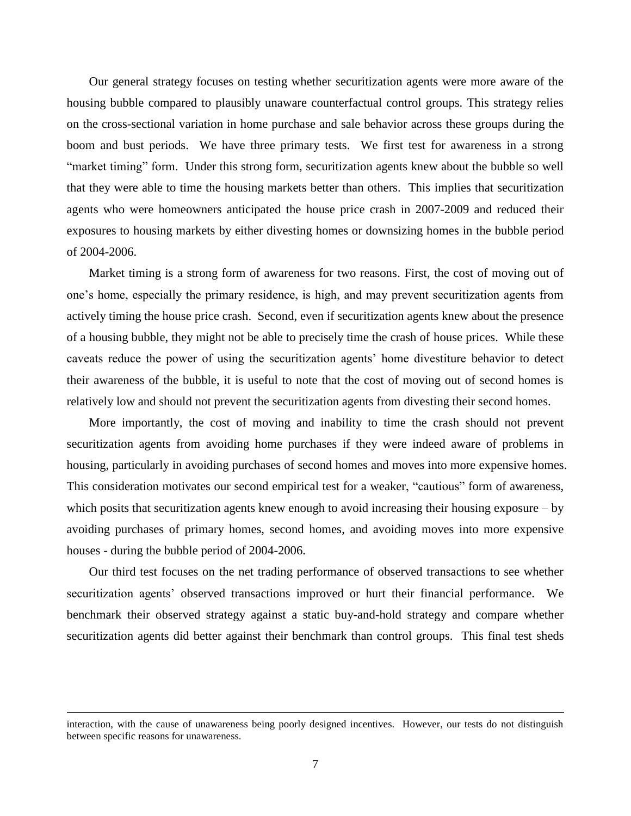Our general strategy focuses on testing whether securitization agents were more aware of the housing bubble compared to plausibly unaware counterfactual control groups. This strategy relies on the cross-sectional variation in home purchase and sale behavior across these groups during the boom and bust periods. We have three primary tests. We first test for awareness in a strong "market timing" form. Under this strong form, securitization agents knew about the bubble so well that they were able to time the housing markets better than others. This implies that securitization agents who were homeowners anticipated the house price crash in 2007-2009 and reduced their exposures to housing markets by either divesting homes or downsizing homes in the bubble period of 2004-2006.

Market timing is a strong form of awareness for two reasons. First, the cost of moving out of one's home, especially the primary residence, is high, and may prevent securitization agents from actively timing the house price crash. Second, even if securitization agents knew about the presence of a housing bubble, they might not be able to precisely time the crash of house prices. While these caveats reduce the power of using the securitization agents' home divestiture behavior to detect their awareness of the bubble, it is useful to note that the cost of moving out of second homes is relatively low and should not prevent the securitization agents from divesting their second homes.

More importantly, the cost of moving and inability to time the crash should not prevent securitization agents from avoiding home purchases if they were indeed aware of problems in housing, particularly in avoiding purchases of second homes and moves into more expensive homes. This consideration motivates our second empirical test for a weaker, "cautious" form of awareness, which posits that securitization agents knew enough to avoid increasing their housing exposure – by avoiding purchases of primary homes, second homes, and avoiding moves into more expensive houses - during the bubble period of 2004-2006.

Our third test focuses on the net trading performance of observed transactions to see whether securitization agents' observed transactions improved or hurt their financial performance. We benchmark their observed strategy against a static buy-and-hold strategy and compare whether securitization agents did better against their benchmark than control groups. This final test sheds

<u>.</u>

interaction, with the cause of unawareness being poorly designed incentives. However, our tests do not distinguish between specific reasons for unawareness.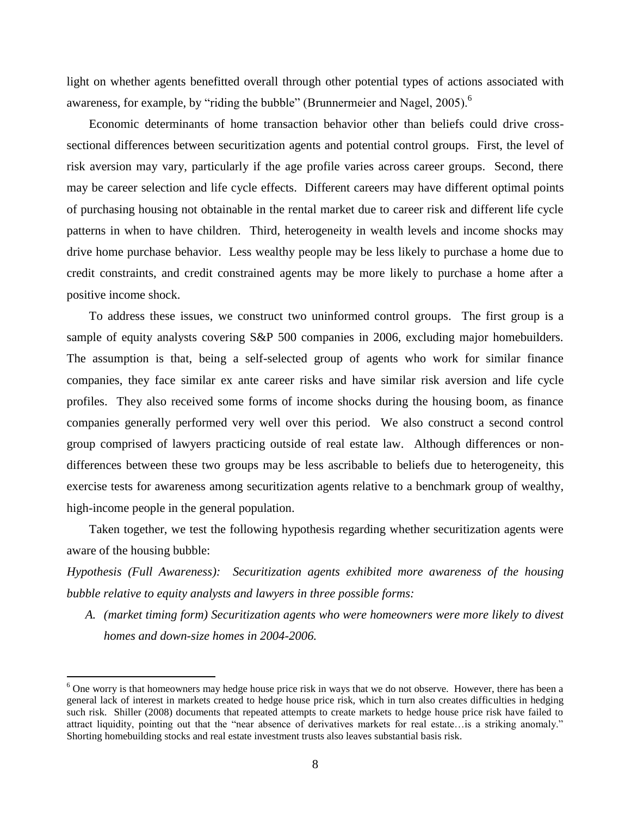light on whether agents benefitted overall through other potential types of actions associated with awareness, for example, by "riding the bubble" (Brunnermeier and Nagel,  $2005$ ).<sup>6</sup>

Economic determinants of home transaction behavior other than beliefs could drive crosssectional differences between securitization agents and potential control groups. First, the level of risk aversion may vary, particularly if the age profile varies across career groups. Second, there may be career selection and life cycle effects. Different careers may have different optimal points of purchasing housing not obtainable in the rental market due to career risk and different life cycle patterns in when to have children. Third, heterogeneity in wealth levels and income shocks may drive home purchase behavior. Less wealthy people may be less likely to purchase a home due to credit constraints, and credit constrained agents may be more likely to purchase a home after a positive income shock.

To address these issues, we construct two uninformed control groups. The first group is a sample of equity analysts covering S&P 500 companies in 2006, excluding major homebuilders. The assumption is that, being a self-selected group of agents who work for similar finance companies, they face similar ex ante career risks and have similar risk aversion and life cycle profiles. They also received some forms of income shocks during the housing boom, as finance companies generally performed very well over this period. We also construct a second control group comprised of lawyers practicing outside of real estate law. Although differences or nondifferences between these two groups may be less ascribable to beliefs due to heterogeneity, this exercise tests for awareness among securitization agents relative to a benchmark group of wealthy, high-income people in the general population.

Taken together, we test the following hypothesis regarding whether securitization agents were aware of the housing bubble:

*Hypothesis (Full Awareness): Securitization agents exhibited more awareness of the housing bubble relative to equity analysts and lawyers in three possible forms:*

*A. (market timing form) Securitization agents who were homeowners were more likely to divest homes and down-size homes in 2004-2006.*

 $6$  One worry is that homeowners may hedge house price risk in ways that we do not observe. However, there has been a general lack of interest in markets created to hedge house price risk, which in turn also creates difficulties in hedging such risk. Shiller (2008) documents that repeated attempts to create markets to hedge house price risk have failed to attract liquidity, pointing out that the "near absence of derivatives markets for real estate…is a striking anomaly." Shorting homebuilding stocks and real estate investment trusts also leaves substantial basis risk.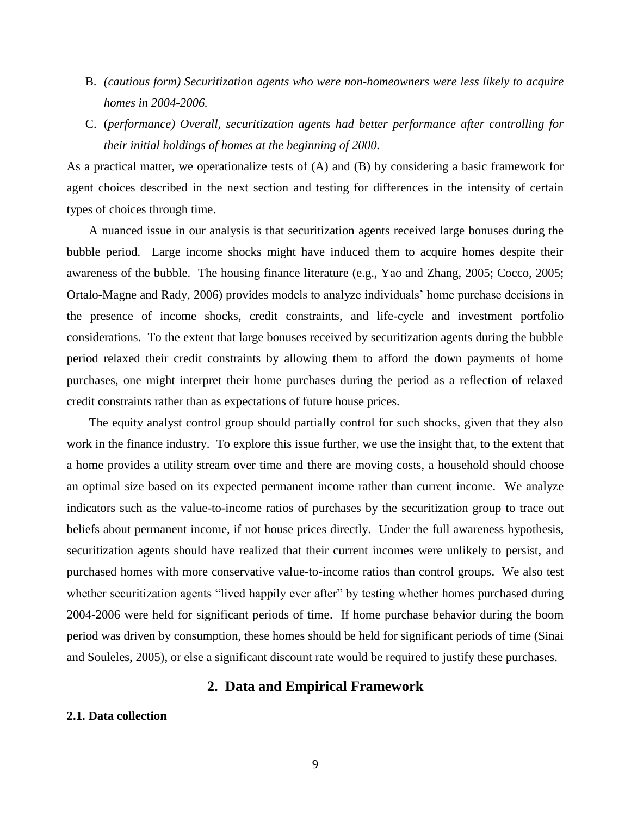- B. *(cautious form) Securitization agents who were non-homeowners were less likely to acquire homes in 2004-2006.*
- C. (*performance) Overall, securitization agents had better performance after controlling for their initial holdings of homes at the beginning of 2000.*

As a practical matter, we operationalize tests of (A) and (B) by considering a basic framework for agent choices described in the next section and testing for differences in the intensity of certain types of choices through time.

A nuanced issue in our analysis is that securitization agents received large bonuses during the bubble period. Large income shocks might have induced them to acquire homes despite their awareness of the bubble. The housing finance literature (e.g., Yao and Zhang, 2005; Cocco, 2005; Ortalo-Magne and Rady, 2006) provides models to analyze individuals' home purchase decisions in the presence of income shocks, credit constraints, and life-cycle and investment portfolio considerations. To the extent that large bonuses received by securitization agents during the bubble period relaxed their credit constraints by allowing them to afford the down payments of home purchases, one might interpret their home purchases during the period as a reflection of relaxed credit constraints rather than as expectations of future house prices.

The equity analyst control group should partially control for such shocks, given that they also work in the finance industry. To explore this issue further, we use the insight that, to the extent that a home provides a utility stream over time and there are moving costs, a household should choose an optimal size based on its expected permanent income rather than current income. We analyze indicators such as the value-to-income ratios of purchases by the securitization group to trace out beliefs about permanent income, if not house prices directly. Under the full awareness hypothesis, securitization agents should have realized that their current incomes were unlikely to persist, and purchased homes with more conservative value-to-income ratios than control groups. We also test whether securitization agents "lived happily ever after" by testing whether homes purchased during 2004-2006 were held for significant periods of time. If home purchase behavior during the boom period was driven by consumption, these homes should be held for significant periods of time (Sinai and Souleles, 2005), or else a significant discount rate would be required to justify these purchases.

# **2. Data and Empirical Framework**

## **2.1. Data collection**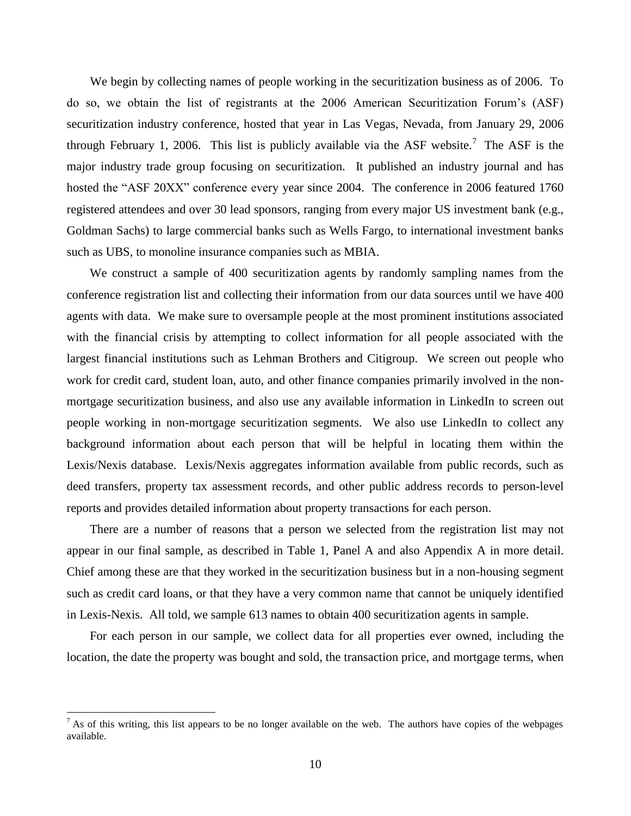We begin by collecting names of people working in the securitization business as of 2006. To do so, we obtain the list of registrants at the 2006 American Securitization Forum's (ASF) securitization industry conference, hosted that year in Las Vegas, Nevada, from January 29, 2006 through February 1, 2006. This list is publicly available via the ASF website.<sup>7</sup> The ASF is the major industry trade group focusing on securitization. It published an industry journal and has hosted the "ASF 20XX" conference every year since 2004. The conference in 2006 featured 1760 registered attendees and over 30 lead sponsors, ranging from every major US investment bank (e.g., Goldman Sachs) to large commercial banks such as Wells Fargo, to international investment banks such as UBS, to monoline insurance companies such as MBIA.

We construct a sample of 400 securitization agents by randomly sampling names from the conference registration list and collecting their information from our data sources until we have 400 agents with data. We make sure to oversample people at the most prominent institutions associated with the financial crisis by attempting to collect information for all people associated with the largest financial institutions such as Lehman Brothers and Citigroup. We screen out people who work for credit card, student loan, auto, and other finance companies primarily involved in the nonmortgage securitization business, and also use any available information in LinkedIn to screen out people working in non-mortgage securitization segments. We also use LinkedIn to collect any background information about each person that will be helpful in locating them within the Lexis/Nexis database. Lexis/Nexis aggregates information available from public records, such as deed transfers, property tax assessment records, and other public address records to person-level reports and provides detailed information about property transactions for each person.

There are a number of reasons that a person we selected from the registration list may not appear in our final sample, as described in Table 1, Panel A and also Appendix A in more detail. Chief among these are that they worked in the securitization business but in a non-housing segment such as credit card loans, or that they have a very common name that cannot be uniquely identified in Lexis-Nexis. All told, we sample 613 names to obtain 400 securitization agents in sample.

For each person in our sample, we collect data for all properties ever owned, including the location, the date the property was bought and sold, the transaction price, and mortgage terms, when

 $<sup>7</sup>$  As of this writing, this list appears to be no longer available on the web. The authors have copies of the webpages</sup> available.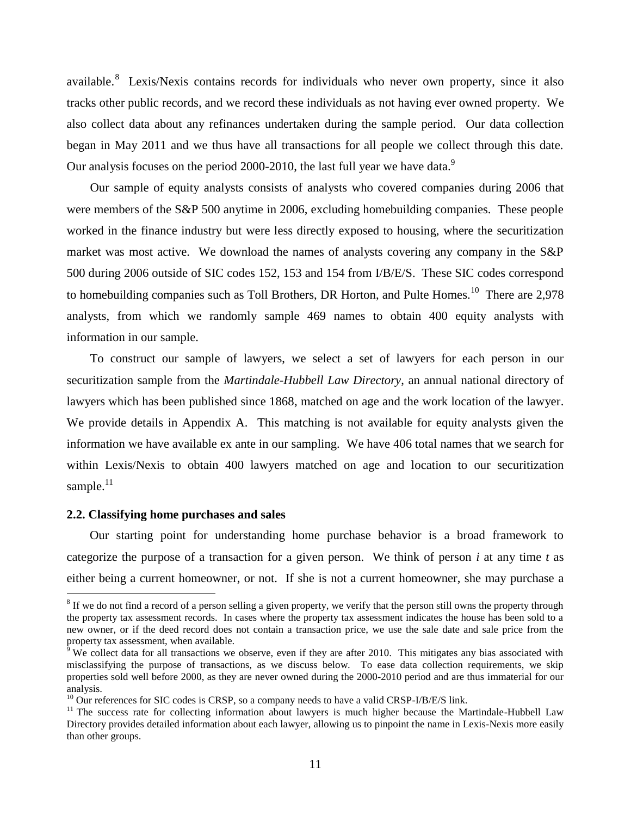available.<sup>8</sup> Lexis/Nexis contains records for individuals who never own property, since it also tracks other public records, and we record these individuals as not having ever owned property. We also collect data about any refinances undertaken during the sample period. Our data collection began in May 2011 and we thus have all transactions for all people we collect through this date. Our analysis focuses on the period 2000-2010, the last full year we have data.<sup>9</sup>

Our sample of equity analysts consists of analysts who covered companies during 2006 that were members of the S&P 500 anytime in 2006, excluding homebuilding companies. These people worked in the finance industry but were less directly exposed to housing, where the securitization market was most active. We download the names of analysts covering any company in the S&P 500 during 2006 outside of SIC codes 152, 153 and 154 from I/B/E/S. These SIC codes correspond to homebuilding companies such as Toll Brothers, DR Horton, and Pulte Homes.<sup>10</sup> There are 2,978 analysts, from which we randomly sample 469 names to obtain 400 equity analysts with information in our sample.

To construct our sample of lawyers, we select a set of lawyers for each person in our securitization sample from the *Martindale-Hubbell Law Directory*, an annual national directory of lawyers which has been published since 1868, matched on age and the work location of the lawyer. We provide details in Appendix A. This matching is not available for equity analysts given the information we have available ex ante in our sampling. We have 406 total names that we search for within Lexis/Nexis to obtain 400 lawyers matched on age and location to our securitization sample.<sup>11</sup>

#### **2.2. Classifying home purchases and sales**

 $\overline{a}$ 

Our starting point for understanding home purchase behavior is a broad framework to categorize the purpose of a transaction for a given person. We think of person *i* at any time *t* as either being a current homeowner, or not. If she is not a current homeowner, she may purchase a

 $8$  If we do not find a record of a person selling a given property, we verify that the person still owns the property through the property tax assessment records. In cases where the property tax assessment indicates the house has been sold to a new owner, or if the deed record does not contain a transaction price, we use the sale date and sale price from the property tax assessment, when available.

<sup>&</sup>lt;sup>9</sup> We collect data for all transactions we observe, even if they are after 2010. This mitigates any bias associated with misclassifying the purpose of transactions, as we discuss below. To ease data collection requirements, we skip properties sold well before 2000, as they are never owned during the 2000-2010 period and are thus immaterial for our analysis.

 $^{10}$  Our references for SIC codes is CRSP, so a company needs to have a valid CRSP-I/B/E/S link.

<sup>&</sup>lt;sup>11</sup> The success rate for collecting information about lawyers is much higher because the Martindale-Hubbell Law Directory provides detailed information about each lawyer, allowing us to pinpoint the name in Lexis-Nexis more easily than other groups.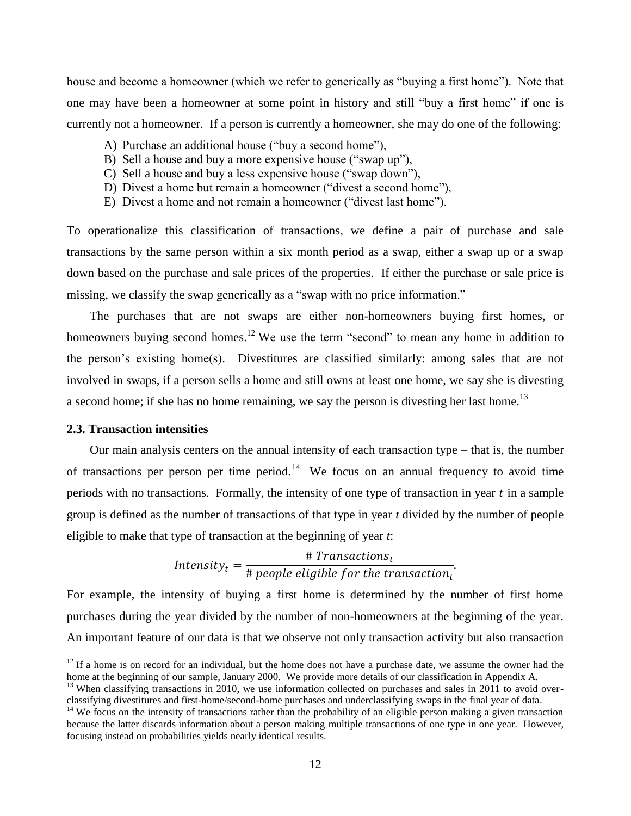house and become a homeowner (which we refer to generically as "buying a first home"). Note that one may have been a homeowner at some point in history and still "buy a first home" if one is currently not a homeowner. If a person is currently a homeowner, she may do one of the following:

- A) Purchase an additional house ("buy a second home"),
- B) Sell a house and buy a more expensive house ("swap up"),
- C) Sell a house and buy a less expensive house ("swap down"),
- D) Divest a home but remain a homeowner ("divest a second home"),
- E) Divest a home and not remain a homeowner ("divest last home").

To operationalize this classification of transactions, we define a pair of purchase and sale transactions by the same person within a six month period as a swap, either a swap up or a swap down based on the purchase and sale prices of the properties. If either the purchase or sale price is missing, we classify the swap generically as a "swap with no price information."

The purchases that are not swaps are either non-homeowners buying first homes, or homeowners buying second homes.<sup>12</sup> We use the term "second" to mean any home in addition to the person's existing home(s). Divestitures are classified similarly: among sales that are not involved in swaps, if a person sells a home and still owns at least one home, we say she is divesting a second home; if she has no home remaining, we say the person is divesting her last home.<sup>13</sup>

#### **2.3. Transaction intensities**

 $\overline{a}$ 

Our main analysis centers on the annual intensity of each transaction type – that is, the number of transactions per person per time period.<sup>14</sup> We focus on an annual frequency to avoid time periods with no transactions. Formally, the intensity of one type of transaction in year  $t$  in a sample group is defined as the number of transactions of that type in year *t* divided by the number of people eligible to make that type of transaction at the beginning of year *t*:

#### I # # .

For example, the intensity of buying a first home is determined by the number of first home purchases during the year divided by the number of non-homeowners at the beginning of the year. An important feature of our data is that we observe not only transaction activity but also transaction

 $12$  If a home is on record for an individual, but the home does not have a purchase date, we assume the owner had the home at the beginning of our sample, January 2000. We provide more details of our classification in Appendix A.

<sup>&</sup>lt;sup>13</sup> When classifying transactions in 2010, we use information collected on purchases and sales in 2011 to avoid overclassifying divestitures and first-home/second-home purchases and underclassifying swaps in the final year of data.

<sup>&</sup>lt;sup>14</sup> We focus on the intensity of transactions rather than the probability of an eligible person making a given transaction because the latter discards information about a person making multiple transactions of one type in one year. However, focusing instead on probabilities yields nearly identical results.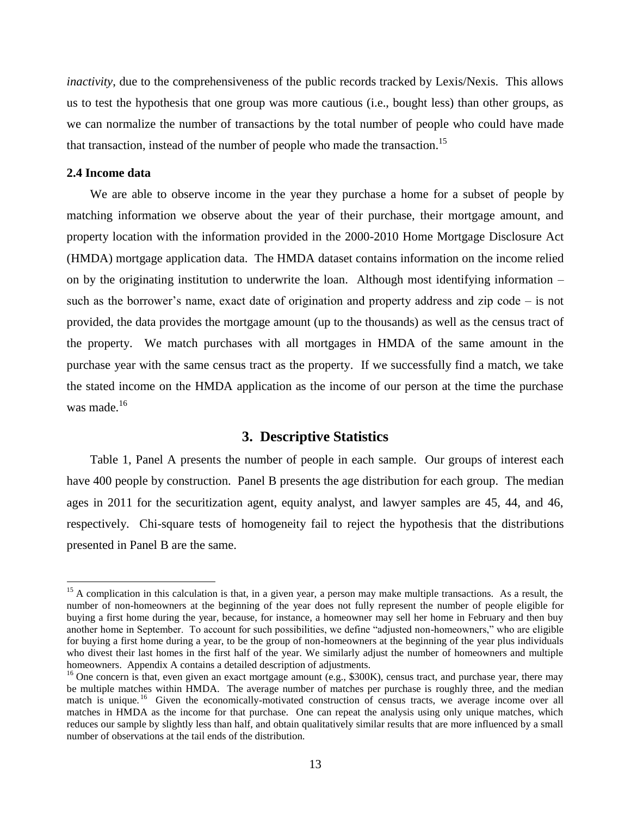*inactivity*, due to the comprehensiveness of the public records tracked by Lexis/Nexis. This allows us to test the hypothesis that one group was more cautious (i.e., bought less) than other groups, as we can normalize the number of transactions by the total number of people who could have made that transaction, instead of the number of people who made the transaction.<sup>15</sup>

### **2.4 Income data**

 $\overline{a}$ 

We are able to observe income in the year they purchase a home for a subset of people by matching information we observe about the year of their purchase, their mortgage amount, and property location with the information provided in the 2000-2010 Home Mortgage Disclosure Act (HMDA) mortgage application data. The HMDA dataset contains information on the income relied on by the originating institution to underwrite the loan. Although most identifying information – such as the borrower's name, exact date of origination and property address and zip code – is not provided, the data provides the mortgage amount (up to the thousands) as well as the census tract of the property. We match purchases with all mortgages in HMDA of the same amount in the purchase year with the same census tract as the property. If we successfully find a match, we take the stated income on the HMDA application as the income of our person at the time the purchase was made.<sup>16</sup>

# **3. Descriptive Statistics**

Table 1, Panel A presents the number of people in each sample. Our groups of interest each have 400 people by construction. Panel B presents the age distribution for each group. The median ages in 2011 for the securitization agent, equity analyst, and lawyer samples are 45, 44, and 46, respectively. Chi-square tests of homogeneity fail to reject the hypothesis that the distributions presented in Panel B are the same.

 $15$  A complication in this calculation is that, in a given year, a person may make multiple transactions. As a result, the number of non-homeowners at the beginning of the year does not fully represent the number of people eligible for buying a first home during the year, because, for instance, a homeowner may sell her home in February and then buy another home in September. To account for such possibilities, we define "adjusted non-homeowners," who are eligible for buying a first home during a year, to be the group of non-homeowners at the beginning of the year plus individuals who divest their last homes in the first half of the year. We similarly adjust the number of homeowners and multiple homeowners. Appendix A contains a detailed description of adjustments.

 $16$  One concern is that, even given an exact mortgage amount (e.g., \$300K), census tract, and purchase year, there may be multiple matches within HMDA. The average number of matches per purchase is roughly three, and the median match is unique.<sup>16</sup> Given the economically-motivated construction of census tracts, we average income over all matches in HMDA as the income for that purchase. One can repeat the analysis using only unique matches, which reduces our sample by slightly less than half, and obtain qualitatively similar results that are more influenced by a small number of observations at the tail ends of the distribution.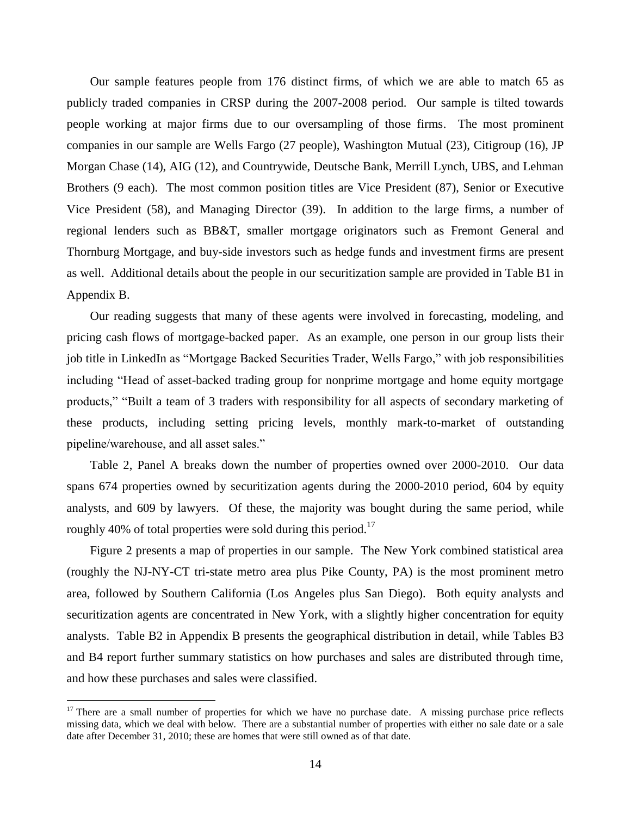Our sample features people from 176 distinct firms, of which we are able to match 65 as publicly traded companies in CRSP during the 2007-2008 period. Our sample is tilted towards people working at major firms due to our oversampling of those firms. The most prominent companies in our sample are Wells Fargo (27 people), Washington Mutual (23), Citigroup (16), JP Morgan Chase (14), AIG (12), and Countrywide, Deutsche Bank, Merrill Lynch, UBS, and Lehman Brothers (9 each). The most common position titles are Vice President (87), Senior or Executive Vice President (58), and Managing Director (39). In addition to the large firms, a number of regional lenders such as BB&T, smaller mortgage originators such as Fremont General and Thornburg Mortgage, and buy-side investors such as hedge funds and investment firms are present as well. Additional details about the people in our securitization sample are provided in Table B1 in Appendix B.

Our reading suggests that many of these agents were involved in forecasting, modeling, and pricing cash flows of mortgage-backed paper. As an example, one person in our group lists their job title in LinkedIn as "Mortgage Backed Securities Trader, Wells Fargo," with job responsibilities including "Head of asset-backed trading group for nonprime mortgage and home equity mortgage products," "Built a team of 3 traders with responsibility for all aspects of secondary marketing of these products, including setting pricing levels, monthly mark-to-market of outstanding pipeline/warehouse, and all asset sales."

Table 2, Panel A breaks down the number of properties owned over 2000-2010. Our data spans 674 properties owned by securitization agents during the 2000-2010 period, 604 by equity analysts, and 609 by lawyers. Of these, the majority was bought during the same period, while roughly 40% of total properties were sold during this period.<sup>17</sup>

Figure 2 presents a map of properties in our sample. The New York combined statistical area (roughly the NJ-NY-CT tri-state metro area plus Pike County, PA) is the most prominent metro area, followed by Southern California (Los Angeles plus San Diego). Both equity analysts and securitization agents are concentrated in New York, with a slightly higher concentration for equity analysts. Table B2 in Appendix B presents the geographical distribution in detail, while Tables B3 and B4 report further summary statistics on how purchases and sales are distributed through time, and how these purchases and sales were classified.

 $17$  There are a small number of properties for which we have no purchase date. A missing purchase price reflects missing data, which we deal with below. There are a substantial number of properties with either no sale date or a sale date after December 31, 2010; these are homes that were still owned as of that date.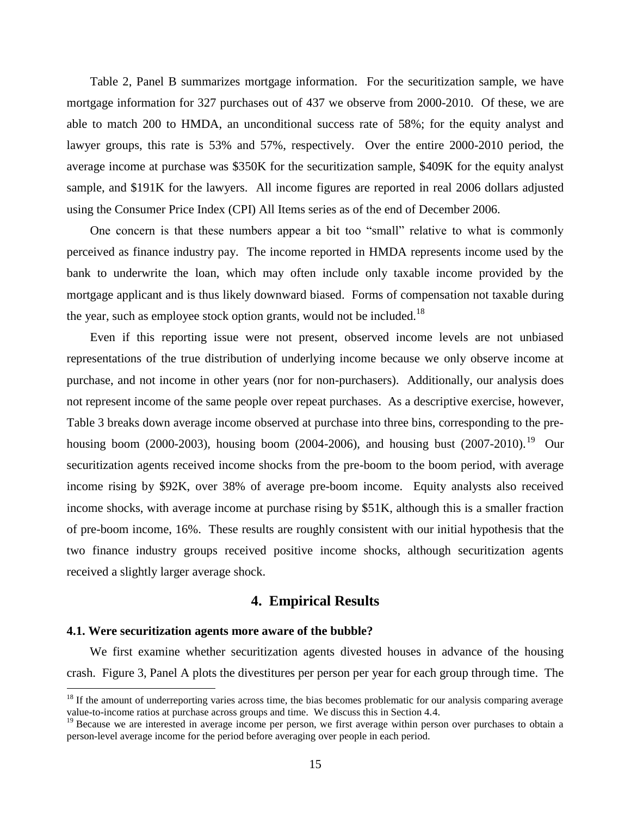Table 2, Panel B summarizes mortgage information. For the securitization sample, we have mortgage information for 327 purchases out of 437 we observe from 2000-2010. Of these, we are able to match 200 to HMDA, an unconditional success rate of 58%; for the equity analyst and lawyer groups, this rate is 53% and 57%, respectively. Over the entire 2000-2010 period, the average income at purchase was \$350K for the securitization sample, \$409K for the equity analyst sample, and \$191K for the lawyers. All income figures are reported in real 2006 dollars adjusted using the Consumer Price Index (CPI) All Items series as of the end of December 2006.

One concern is that these numbers appear a bit too "small" relative to what is commonly perceived as finance industry pay. The income reported in HMDA represents income used by the bank to underwrite the loan, which may often include only taxable income provided by the mortgage applicant and is thus likely downward biased. Forms of compensation not taxable during the year, such as employee stock option grants, would not be included.<sup>18</sup>

Even if this reporting issue were not present, observed income levels are not unbiased representations of the true distribution of underlying income because we only observe income at purchase, and not income in other years (nor for non-purchasers). Additionally, our analysis does not represent income of the same people over repeat purchases. As a descriptive exercise, however, Table 3 breaks down average income observed at purchase into three bins, corresponding to the prehousing boom (2000-2003), housing boom (2004-2006), and housing bust (2007-2010).<sup>19</sup> Our securitization agents received income shocks from the pre-boom to the boom period, with average income rising by \$92K, over 38% of average pre-boom income. Equity analysts also received income shocks, with average income at purchase rising by \$51K, although this is a smaller fraction of pre-boom income, 16%. These results are roughly consistent with our initial hypothesis that the two finance industry groups received positive income shocks, although securitization agents received a slightly larger average shock.

# **4. Empirical Results**

### **4.1. Were securitization agents more aware of the bubble?**

 $\overline{a}$ 

We first examine whether securitization agents divested houses in advance of the housing crash. Figure 3, Panel A plots the divestitures per person per year for each group through time. The

 $18$  If the amount of underreporting varies across time, the bias becomes problematic for our analysis comparing average value-to-income ratios at purchase across groups and time. We discuss this in Section 4.4.

<sup>&</sup>lt;sup>19</sup> Because we are interested in average income per person, we first average within person over purchases to obtain a person-level average income for the period before averaging over people in each period.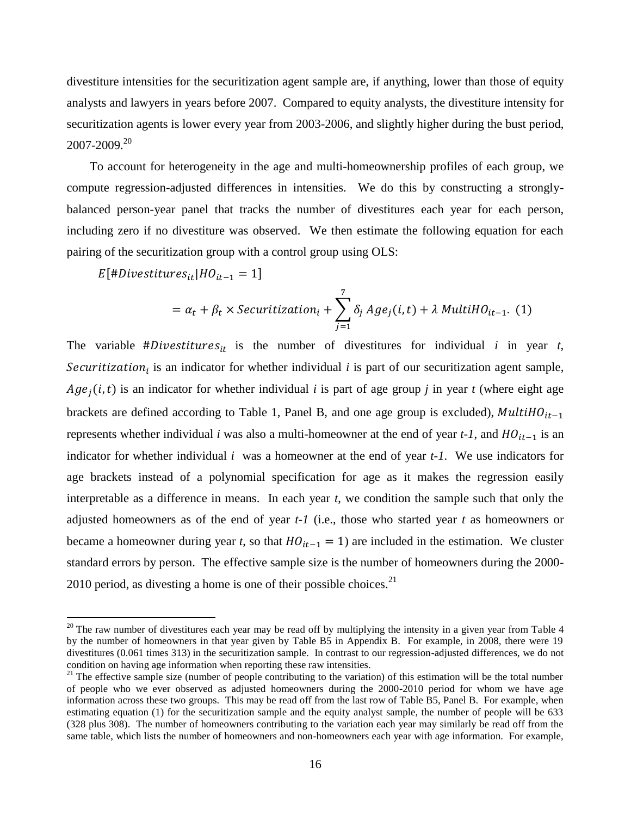divestiture intensities for the securitization agent sample are, if anything, lower than those of equity analysts and lawyers in years before 2007. Compared to equity analysts, the divestiture intensity for securitization agents is lower every year from 2003-2006, and slightly higher during the bust period, 2007-2009.<sup>20</sup>

To account for heterogeneity in the age and multi-homeownership profiles of each group, we compute regression-adjusted differences in intensities. We do this by constructing a stronglybalanced person-year panel that tracks the number of divestitures each year for each person, including zero if no divestiture was observed. We then estimate the following equation for each pairing of the securitization group with a control group using OLS:

 $E[#Divestitures_{it} | HO_{it-1} = 1]$ 

 $\overline{a}$ 

$$
= \alpha_t + \beta_t \times \text{Securityation}_i + \sum_{j=1}^{7} \delta_j \text{Age}_j(i, t) + \lambda \text{MultiHO}_{it-1}. (1)
$$

The variable #Divestitures<sub>it</sub> is the number of divestitures for individual *i* in year *t*, Securitization<sub>i</sub> is an indicator for whether individual  $i$  is part of our securitization agent sample,  $Age<sub>i</sub>(i, t)$  is an indicator for whether individual *i* is part of age group *j* in year *t* (where eight age brackets are defined according to Table 1, Panel B, and one age group is excluded), MultiH $O_{it-1}$ represents whether individual *i* was also a multi-homeowner at the end of year *t*-1, and  $HO_{it-1}$  is an indicator for whether individual *i* was a homeowner at the end of year *t-1*. We use indicators for age brackets instead of a polynomial specification for age as it makes the regression easily interpretable as a difference in means. In each year *t*, we condition the sample such that only the adjusted homeowners as of the end of year *t-1* (i.e., those who started year *t* as homeowners or became a homeowner during year *t*, so that  $HO_{it-1} = 1$  are included in the estimation. We cluster standard errors by person. The effective sample size is the number of homeowners during the 2000- 2010 period, as divesting a home is one of their possible choices.<sup>21</sup>

 $20$  The raw number of divestitures each year may be read off by multiplying the intensity in a given year from Table 4 by the number of homeowners in that year given by Table B5 in Appendix B. For example, in 2008, there were 19 divestitures (0.061 times 313) in the securitization sample. In contrast to our regression-adjusted differences, we do not condition on having age information when reporting these raw intensities.

 $21$  The effective sample size (number of people contributing to the variation) of this estimation will be the total number of people who we ever observed as adjusted homeowners during the 2000-2010 period for whom we have age information across these two groups. This may be read off from the last row of Table B5, Panel B. For example, when estimating equation (1) for the securitization sample and the equity analyst sample, the number of people will be 633 (328 plus 308). The number of homeowners contributing to the variation each year may similarly be read off from the same table, which lists the number of homeowners and non-homeowners each year with age information. For example,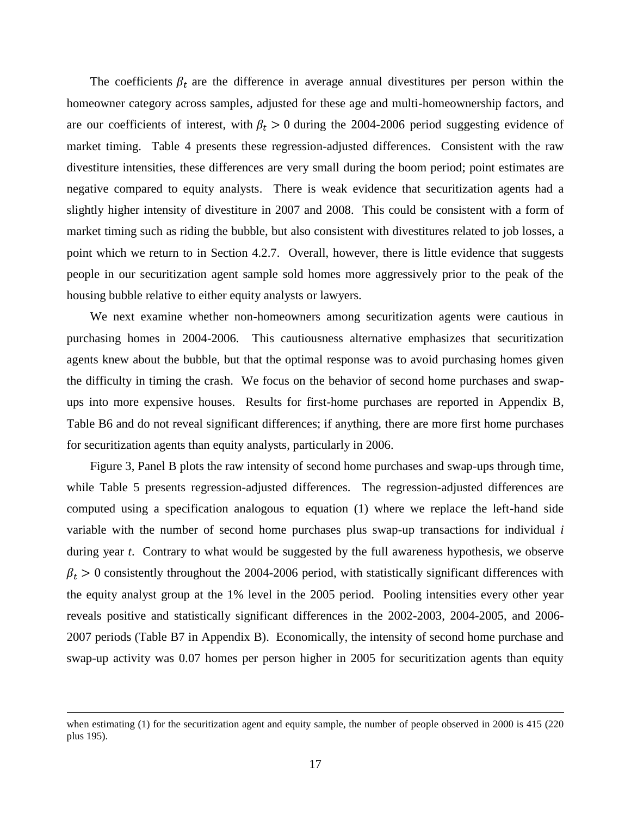The coefficients  $\beta_t$  are the difference in average annual divestitures per person within the homeowner category across samples, adjusted for these age and multi-homeownership factors, and are our coefficients of interest, with  $\beta_t > 0$  during the 2004-2006 period suggesting evidence of market timing. Table 4 presents these regression-adjusted differences. Consistent with the raw divestiture intensities, these differences are very small during the boom period; point estimates are negative compared to equity analysts. There is weak evidence that securitization agents had a slightly higher intensity of divestiture in 2007 and 2008. This could be consistent with a form of market timing such as riding the bubble, but also consistent with divestitures related to job losses, a point which we return to in Section 4.2.7. Overall, however, there is little evidence that suggests people in our securitization agent sample sold homes more aggressively prior to the peak of the housing bubble relative to either equity analysts or lawyers.

We next examine whether non-homeowners among securitization agents were cautious in purchasing homes in 2004-2006. This cautiousness alternative emphasizes that securitization agents knew about the bubble, but that the optimal response was to avoid purchasing homes given the difficulty in timing the crash. We focus on the behavior of second home purchases and swapups into more expensive houses. Results for first-home purchases are reported in Appendix B, Table B6 and do not reveal significant differences; if anything, there are more first home purchases for securitization agents than equity analysts, particularly in 2006.

Figure 3, Panel B plots the raw intensity of second home purchases and swap-ups through time, while Table 5 presents regression-adjusted differences. The regression-adjusted differences are computed using a specification analogous to equation (1) where we replace the left-hand side variable with the number of second home purchases plus swap-up transactions for individual *i*  during year *t*. Contrary to what would be suggested by the full awareness hypothesis, we observe  $\beta_t > 0$  consistently throughout the 2004-2006 period, with statistically significant differences with the equity analyst group at the 1% level in the 2005 period. Pooling intensities every other year reveals positive and statistically significant differences in the 2002-2003, 2004-2005, and 2006- 2007 periods (Table B7 in Appendix B). Economically, the intensity of second home purchase and swap-up activity was 0.07 homes per person higher in 2005 for securitization agents than equity

<u>.</u>

when estimating (1) for the securitization agent and equity sample, the number of people observed in 2000 is 415 (220) plus 195).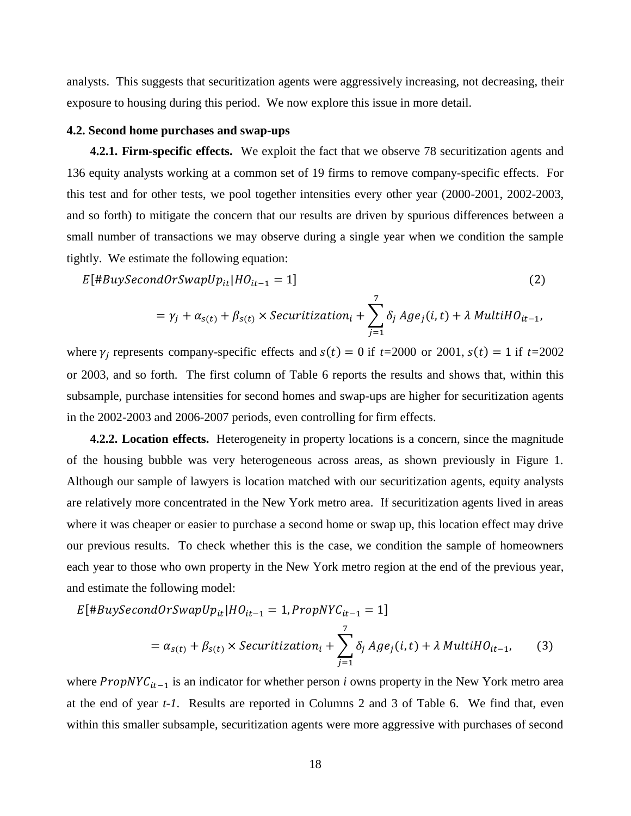analysts. This suggests that securitization agents were aggressively increasing, not decreasing, their exposure to housing during this period. We now explore this issue in more detail.

# **4.2. Second home purchases and swap-ups**

**4.2.1. Firm-specific effects.** We exploit the fact that we observe 78 securitization agents and 136 equity analysts working at a common set of 19 firms to remove company-specific effects. For this test and for other tests, we pool together intensities every other year (2000-2001, 2002-2003, and so forth) to mitigate the concern that our results are driven by spurious differences between a small number of transactions we may observe during a single year when we condition the sample tightly. We estimate the following equation:

 $E[#BuySecond OrSwapUp_{it} | HO_{it-1} = 1]$  (2)

$$
= \gamma_j + \alpha_{s(t)} + \beta_{s(t)} \times \text{Securityation}_{i} + \sum_{j=1}^{7} \delta_j \text{ Age}_{j}(i, t) + \lambda \text{MultiHO}_{it-1},
$$

where  $\gamma_i$  represents company-specific effects and  $s(t) = 0$  if  $t=2000$  or 2001,  $s(t) = 1$  if  $t=2002$ or 2003, and so forth. The first column of Table 6 reports the results and shows that, within this subsample, purchase intensities for second homes and swap-ups are higher for securitization agents in the 2002-2003 and 2006-2007 periods, even controlling for firm effects.

**4.2.2. Location effects.** Heterogeneity in property locations is a concern, since the magnitude of the housing bubble was very heterogeneous across areas, as shown previously in Figure 1. Although our sample of lawyers is location matched with our securitization agents, equity analysts are relatively more concentrated in the New York metro area. If securitization agents lived in areas where it was cheaper or easier to purchase a second home or swap up, this location effect may drive our previous results. To check whether this is the case, we condition the sample of homeowners each year to those who own property in the New York metro region at the end of the previous year, and estimate the following model:

 $E[$ #BuySecondOrSwapU $p_{it}$ |HO<sub>it-1</sub> = 1, PropNYC<sub>it-1</sub> = 1]

$$
= \alpha_{s(t)} + \beta_{s(t)} \times \text{Securityization}_{i} + \sum_{j=1}^{7} \delta_j \text{Age}_{j}(i, t) + \lambda \text{MultiHO}_{it-1}, \tag{3}
$$

where  $PropNYC_{it-1}$  is an indicator for whether person *i* owns property in the New York metro area at the end of year *t-1*. Results are reported in Columns 2 and 3 of Table 6. We find that, even within this smaller subsample, securitization agents were more aggressive with purchases of second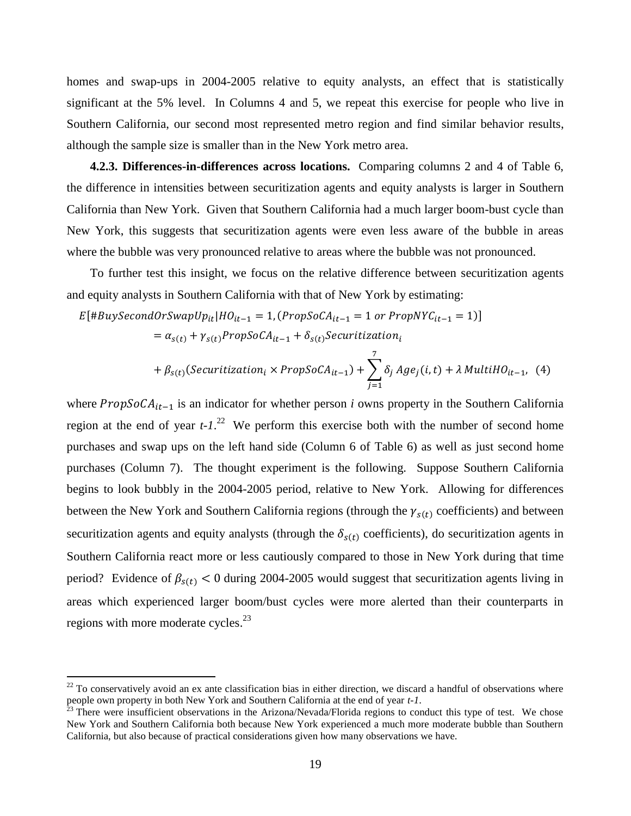homes and swap-ups in 2004-2005 relative to equity analysts, an effect that is statistically significant at the 5% level. In Columns 4 and 5, we repeat this exercise for people who live in Southern California, our second most represented metro region and find similar behavior results, although the sample size is smaller than in the New York metro area.

**4.2.3. Differences-in-differences across locations.** Comparing columns 2 and 4 of Table 6, the difference in intensities between securitization agents and equity analysts is larger in Southern California than New York. Given that Southern California had a much larger boom-bust cycle than New York, this suggests that securitization agents were even less aware of the bubble in areas where the bubble was very pronounced relative to areas where the bubble was not pronounced.

To further test this insight, we focus on the relative difference between securitization agents and equity analysts in Southern California with that of New York by estimating:

$$
E[#BuySecondOrSwap Up_{it} | HO_{it-1} = 1, (PropSoCA_{it-1} = 1 or PropNYC_{it-1} = 1)]
$$

$$
= \alpha_{s(t)} + \gamma_{s(t)} \text{PropSoCA}_{it-1} + \delta_{s(t)} \text{Security}
$$

$$
+\beta_{s(t)}(Securitization_i \times PropSoCA_{it-1}) + \sum_{j=1}^{7} \delta_j Age_j(i, t) + \lambda \text{MultiHO}_{it-1}, \tag{4}
$$

where  $PropSoCA_{it-1}$  is an indicator for whether person *i* owns property in the Southern California region at the end of year  $t$ -1<sup>22</sup> We perform this exercise both with the number of second home purchases and swap ups on the left hand side (Column 6 of Table 6) as well as just second home purchases (Column 7). The thought experiment is the following. Suppose Southern California begins to look bubbly in the 2004-2005 period, relative to New York. Allowing for differences between the New York and Southern California regions (through the  $\gamma_{s(t)}$  coefficients) and between securitization agents and equity analysts (through the  $\delta_{s(t)}$  coefficients), do securitization agents in Southern California react more or less cautiously compared to those in New York during that time period? Evidence of  $\beta_{s(t)} < 0$  during 2004-2005 would suggest that securitization agents living in areas which experienced larger boom/bust cycles were more alerted than their counterparts in regions with more moderate cycles.<sup>23</sup>

 $22$  To conservatively avoid an ex ante classification bias in either direction, we discard a handful of observations where people own property in both New York and Southern California at the end of year *t-1*.

 $^{23}$  There were insufficient observations in the Arizona/Nevada/Florida regions to conduct this type of test. We chose New York and Southern California both because New York experienced a much more moderate bubble than Southern California, but also because of practical considerations given how many observations we have.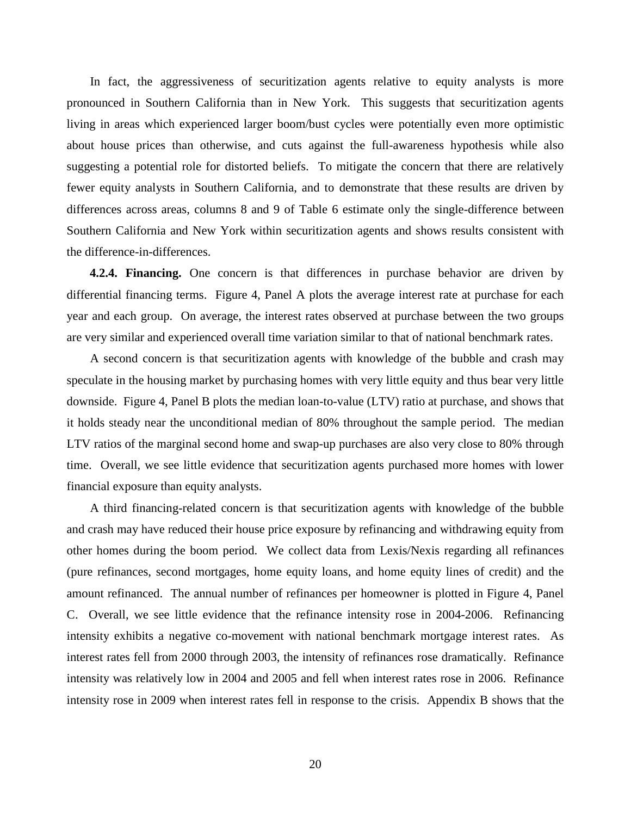In fact, the aggressiveness of securitization agents relative to equity analysts is more pronounced in Southern California than in New York. This suggests that securitization agents living in areas which experienced larger boom/bust cycles were potentially even more optimistic about house prices than otherwise, and cuts against the full-awareness hypothesis while also suggesting a potential role for distorted beliefs. To mitigate the concern that there are relatively fewer equity analysts in Southern California, and to demonstrate that these results are driven by differences across areas, columns 8 and 9 of Table 6 estimate only the single-difference between Southern California and New York within securitization agents and shows results consistent with the difference-in-differences.

**4.2.4. Financing.** One concern is that differences in purchase behavior are driven by differential financing terms. Figure 4, Panel A plots the average interest rate at purchase for each year and each group. On average, the interest rates observed at purchase between the two groups are very similar and experienced overall time variation similar to that of national benchmark rates.

A second concern is that securitization agents with knowledge of the bubble and crash may speculate in the housing market by purchasing homes with very little equity and thus bear very little downside. Figure 4, Panel B plots the median loan-to-value (LTV) ratio at purchase, and shows that it holds steady near the unconditional median of 80% throughout the sample period. The median LTV ratios of the marginal second home and swap-up purchases are also very close to 80% through time. Overall, we see little evidence that securitization agents purchased more homes with lower financial exposure than equity analysts.

A third financing-related concern is that securitization agents with knowledge of the bubble and crash may have reduced their house price exposure by refinancing and withdrawing equity from other homes during the boom period. We collect data from Lexis/Nexis regarding all refinances (pure refinances, second mortgages, home equity loans, and home equity lines of credit) and the amount refinanced. The annual number of refinances per homeowner is plotted in Figure 4, Panel C. Overall, we see little evidence that the refinance intensity rose in 2004-2006. Refinancing intensity exhibits a negative co-movement with national benchmark mortgage interest rates. As interest rates fell from 2000 through 2003, the intensity of refinances rose dramatically. Refinance intensity was relatively low in 2004 and 2005 and fell when interest rates rose in 2006. Refinance intensity rose in 2009 when interest rates fell in response to the crisis. Appendix B shows that the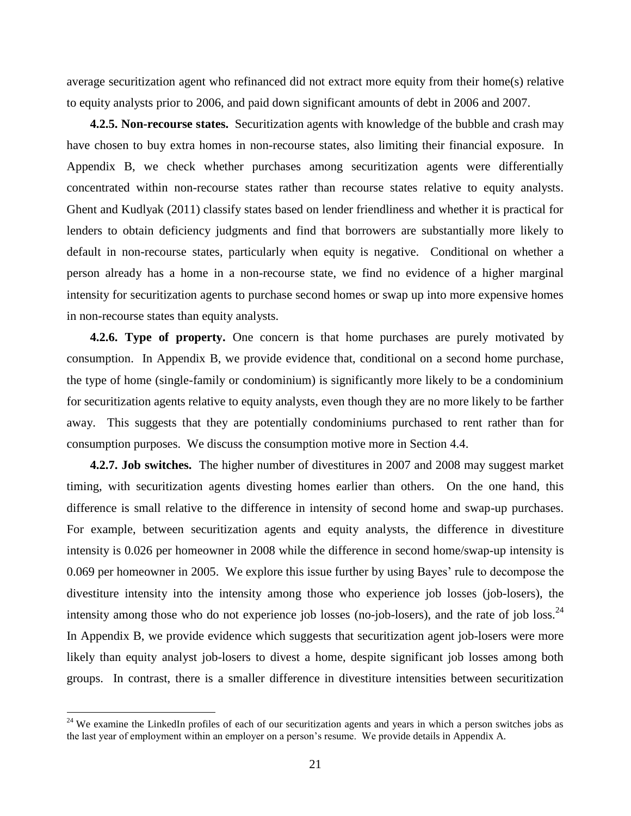average securitization agent who refinanced did not extract more equity from their home(s) relative to equity analysts prior to 2006, and paid down significant amounts of debt in 2006 and 2007.

**4.2.5. Non-recourse states.** Securitization agents with knowledge of the bubble and crash may have chosen to buy extra homes in non-recourse states, also limiting their financial exposure. In Appendix B, we check whether purchases among securitization agents were differentially concentrated within non-recourse states rather than recourse states relative to equity analysts. Ghent and Kudlyak (2011) classify states based on lender friendliness and whether it is practical for lenders to obtain deficiency judgments and find that borrowers are substantially more likely to default in non-recourse states, particularly when equity is negative. Conditional on whether a person already has a home in a non-recourse state, we find no evidence of a higher marginal intensity for securitization agents to purchase second homes or swap up into more expensive homes in non-recourse states than equity analysts.

**4.2.6. Type of property.** One concern is that home purchases are purely motivated by consumption. In Appendix B, we provide evidence that, conditional on a second home purchase, the type of home (single-family or condominium) is significantly more likely to be a condominium for securitization agents relative to equity analysts, even though they are no more likely to be farther away. This suggests that they are potentially condominiums purchased to rent rather than for consumption purposes. We discuss the consumption motive more in Section 4.4.

**4.2.7. Job switches.** The higher number of divestitures in 2007 and 2008 may suggest market timing, with securitization agents divesting homes earlier than others. On the one hand, this difference is small relative to the difference in intensity of second home and swap-up purchases. For example, between securitization agents and equity analysts, the difference in divestiture intensity is 0.026 per homeowner in 2008 while the difference in second home/swap-up intensity is 0.069 per homeowner in 2005. We explore this issue further by using Bayes' rule to decompose the divestiture intensity into the intensity among those who experience job losses (job-losers), the intensity among those who do not experience job losses (no-job-losers), and the rate of job loss. $^{24}$ In Appendix B, we provide evidence which suggests that securitization agent job-losers were more likely than equity analyst job-losers to divest a home, despite significant job losses among both groups. In contrast, there is a smaller difference in divestiture intensities between securitization

 $24$  We examine the LinkedIn profiles of each of our securitization agents and years in which a person switches jobs as the last year of employment within an employer on a person's resume. We provide details in Appendix A.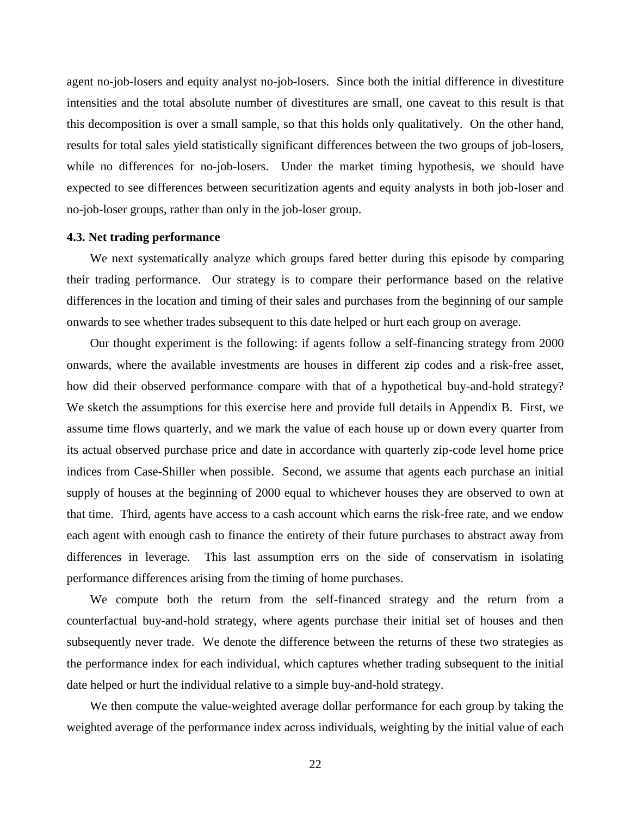agent no-job-losers and equity analyst no-job-losers. Since both the initial difference in divestiture intensities and the total absolute number of divestitures are small, one caveat to this result is that this decomposition is over a small sample, so that this holds only qualitatively. On the other hand, results for total sales yield statistically significant differences between the two groups of job-losers, while no differences for no-job-losers. Under the market timing hypothesis, we should have expected to see differences between securitization agents and equity analysts in both job-loser and no-job-loser groups, rather than only in the job-loser group.

### **4.3. Net trading performance**

We next systematically analyze which groups fared better during this episode by comparing their trading performance. Our strategy is to compare their performance based on the relative differences in the location and timing of their sales and purchases from the beginning of our sample onwards to see whether trades subsequent to this date helped or hurt each group on average.

Our thought experiment is the following: if agents follow a self-financing strategy from 2000 onwards, where the available investments are houses in different zip codes and a risk-free asset, how did their observed performance compare with that of a hypothetical buy-and-hold strategy? We sketch the assumptions for this exercise here and provide full details in Appendix B. First, we assume time flows quarterly, and we mark the value of each house up or down every quarter from its actual observed purchase price and date in accordance with quarterly zip-code level home price indices from Case-Shiller when possible. Second, we assume that agents each purchase an initial supply of houses at the beginning of 2000 equal to whichever houses they are observed to own at that time. Third, agents have access to a cash account which earns the risk-free rate, and we endow each agent with enough cash to finance the entirety of their future purchases to abstract away from differences in leverage. This last assumption errs on the side of conservatism in isolating performance differences arising from the timing of home purchases.

We compute both the return from the self-financed strategy and the return from a counterfactual buy-and-hold strategy, where agents purchase their initial set of houses and then subsequently never trade. We denote the difference between the returns of these two strategies as the performance index for each individual, which captures whether trading subsequent to the initial date helped or hurt the individual relative to a simple buy-and-hold strategy.

We then compute the value-weighted average dollar performance for each group by taking the weighted average of the performance index across individuals, weighting by the initial value of each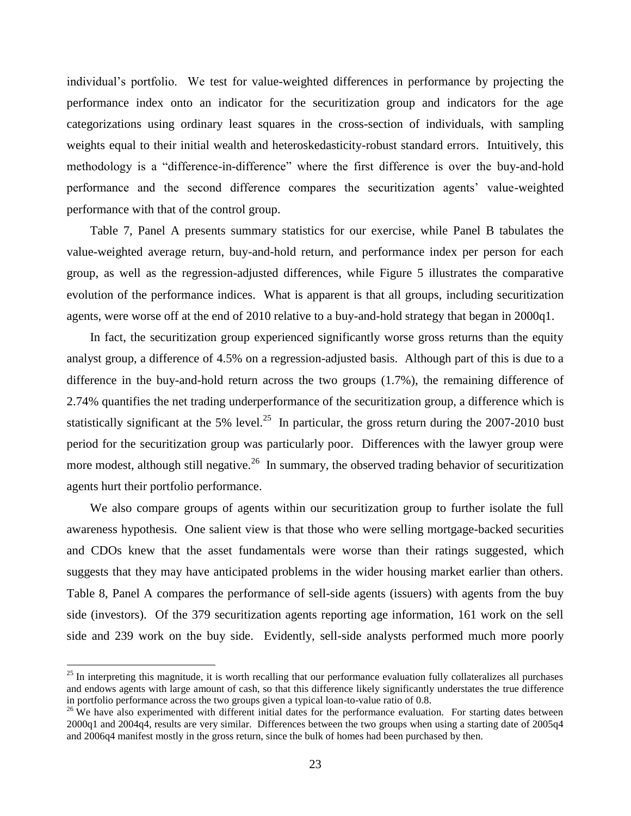individual's portfolio. We test for value-weighted differences in performance by projecting the performance index onto an indicator for the securitization group and indicators for the age categorizations using ordinary least squares in the cross-section of individuals, with sampling weights equal to their initial wealth and heteroskedasticity-robust standard errors. Intuitively, this methodology is a "difference-in-difference" where the first difference is over the buy-and-hold performance and the second difference compares the securitization agents' value-weighted performance with that of the control group.

Table 7, Panel A presents summary statistics for our exercise, while Panel B tabulates the value-weighted average return, buy-and-hold return, and performance index per person for each group, as well as the regression-adjusted differences, while Figure 5 illustrates the comparative evolution of the performance indices. What is apparent is that all groups, including securitization agents, were worse off at the end of 2010 relative to a buy-and-hold strategy that began in 2000q1.

In fact, the securitization group experienced significantly worse gross returns than the equity analyst group, a difference of 4.5% on a regression-adjusted basis. Although part of this is due to a difference in the buy-and-hold return across the two groups (1.7%), the remaining difference of 2.74% quantifies the net trading underperformance of the securitization group, a difference which is statistically significant at the 5% level.<sup>25</sup> In particular, the gross return during the 2007-2010 bust period for the securitization group was particularly poor. Differences with the lawyer group were more modest, although still negative.<sup>26</sup> In summary, the observed trading behavior of securitization agents hurt their portfolio performance.

We also compare groups of agents within our securitization group to further isolate the full awareness hypothesis. One salient view is that those who were selling mortgage-backed securities and CDOs knew that the asset fundamentals were worse than their ratings suggested, which suggests that they may have anticipated problems in the wider housing market earlier than others. Table 8, Panel A compares the performance of sell-side agents (issuers) with agents from the buy side (investors). Of the 379 securitization agents reporting age information, 161 work on the sell side and 239 work on the buy side. Evidently, sell-side analysts performed much more poorly

 $^{25}$  In interpreting this magnitude, it is worth recalling that our performance evaluation fully collateralizes all purchases and endows agents with large amount of cash, so that this difference likely significantly understates the true difference in portfolio performance across the two groups given a typical loan-to-value ratio of 0.8.

 $26$  We have also experimented with different initial dates for the performance evaluation. For starting dates between 2000q1 and 2004q4, results are very similar. Differences between the two groups when using a starting date of 2005q4 and 2006q4 manifest mostly in the gross return, since the bulk of homes had been purchased by then.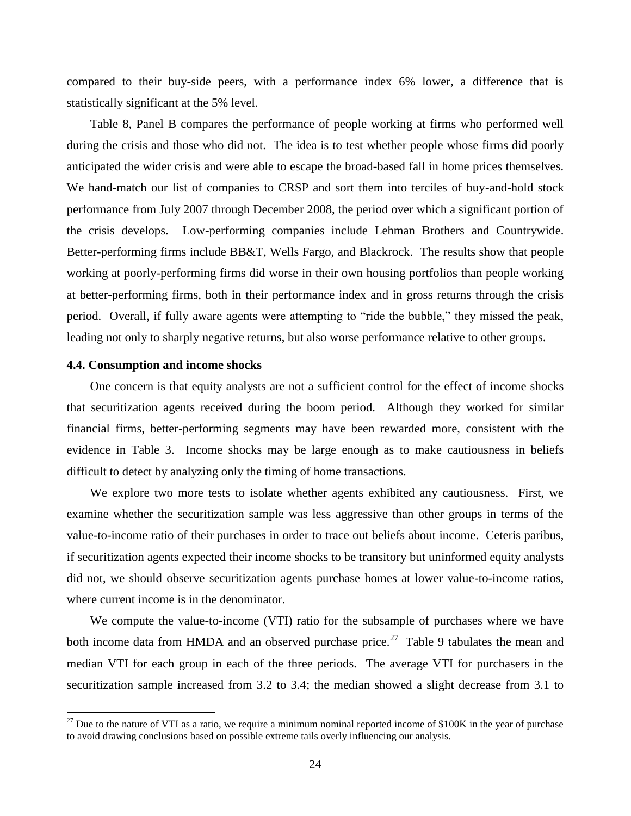compared to their buy-side peers, with a performance index 6% lower, a difference that is statistically significant at the 5% level.

Table 8, Panel B compares the performance of people working at firms who performed well during the crisis and those who did not. The idea is to test whether people whose firms did poorly anticipated the wider crisis and were able to escape the broad-based fall in home prices themselves. We hand-match our list of companies to CRSP and sort them into terciles of buy-and-hold stock performance from July 2007 through December 2008, the period over which a significant portion of the crisis develops. Low-performing companies include Lehman Brothers and Countrywide. Better-performing firms include BB&T, Wells Fargo, and Blackrock. The results show that people working at poorly-performing firms did worse in their own housing portfolios than people working at better-performing firms, both in their performance index and in gross returns through the crisis period. Overall, if fully aware agents were attempting to "ride the bubble," they missed the peak, leading not only to sharply negative returns, but also worse performance relative to other groups.

#### **4.4. Consumption and income shocks**

 $\overline{a}$ 

One concern is that equity analysts are not a sufficient control for the effect of income shocks that securitization agents received during the boom period. Although they worked for similar financial firms, better-performing segments may have been rewarded more, consistent with the evidence in Table 3. Income shocks may be large enough as to make cautiousness in beliefs difficult to detect by analyzing only the timing of home transactions.

We explore two more tests to isolate whether agents exhibited any cautiousness. First, we examine whether the securitization sample was less aggressive than other groups in terms of the value-to-income ratio of their purchases in order to trace out beliefs about income. Ceteris paribus, if securitization agents expected their income shocks to be transitory but uninformed equity analysts did not, we should observe securitization agents purchase homes at lower value-to-income ratios, where current income is in the denominator.

We compute the value-to-income (VTI) ratio for the subsample of purchases where we have both income data from HMDA and an observed purchase price.<sup>27</sup> Table 9 tabulates the mean and median VTI for each group in each of the three periods. The average VTI for purchasers in the securitization sample increased from 3.2 to 3.4; the median showed a slight decrease from 3.1 to

 $^{27}$  Due to the nature of VTI as a ratio, we require a minimum nominal reported income of \$100K in the year of purchase to avoid drawing conclusions based on possible extreme tails overly influencing our analysis.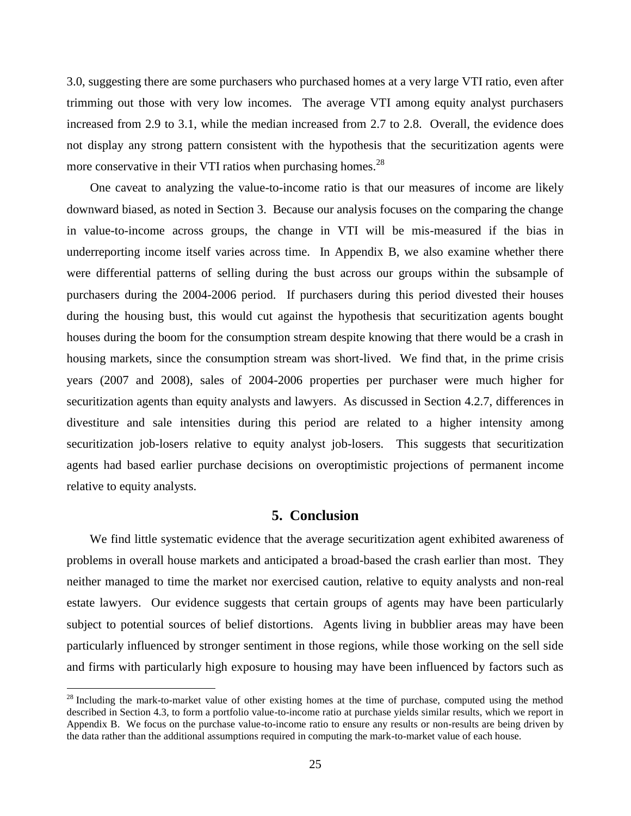3.0, suggesting there are some purchasers who purchased homes at a very large VTI ratio, even after trimming out those with very low incomes. The average VTI among equity analyst purchasers increased from 2.9 to 3.1, while the median increased from 2.7 to 2.8. Overall, the evidence does not display any strong pattern consistent with the hypothesis that the securitization agents were more conservative in their VTI ratios when purchasing homes.<sup>28</sup>

One caveat to analyzing the value-to-income ratio is that our measures of income are likely downward biased, as noted in Section 3. Because our analysis focuses on the comparing the change in value-to-income across groups, the change in VTI will be mis-measured if the bias in underreporting income itself varies across time. In Appendix B, we also examine whether there were differential patterns of selling during the bust across our groups within the subsample of purchasers during the 2004-2006 period. If purchasers during this period divested their houses during the housing bust, this would cut against the hypothesis that securitization agents bought houses during the boom for the consumption stream despite knowing that there would be a crash in housing markets, since the consumption stream was short-lived. We find that, in the prime crisis years (2007 and 2008), sales of 2004-2006 properties per purchaser were much higher for securitization agents than equity analysts and lawyers. As discussed in Section 4.2.7, differences in divestiture and sale intensities during this period are related to a higher intensity among securitization job-losers relative to equity analyst job-losers. This suggests that securitization agents had based earlier purchase decisions on overoptimistic projections of permanent income relative to equity analysts.

# **5. Conclusion**

We find little systematic evidence that the average securitization agent exhibited awareness of problems in overall house markets and anticipated a broad-based the crash earlier than most. They neither managed to time the market nor exercised caution, relative to equity analysts and non-real estate lawyers. Our evidence suggests that certain groups of agents may have been particularly subject to potential sources of belief distortions. Agents living in bubblier areas may have been particularly influenced by stronger sentiment in those regions, while those working on the sell side and firms with particularly high exposure to housing may have been influenced by factors such as

 $28$  Including the mark-to-market value of other existing homes at the time of purchase, computed using the method described in Section 4.3, to form a portfolio value-to-income ratio at purchase yields similar results, which we report in Appendix B. We focus on the purchase value-to-income ratio to ensure any results or non-results are being driven by the data rather than the additional assumptions required in computing the mark-to-market value of each house.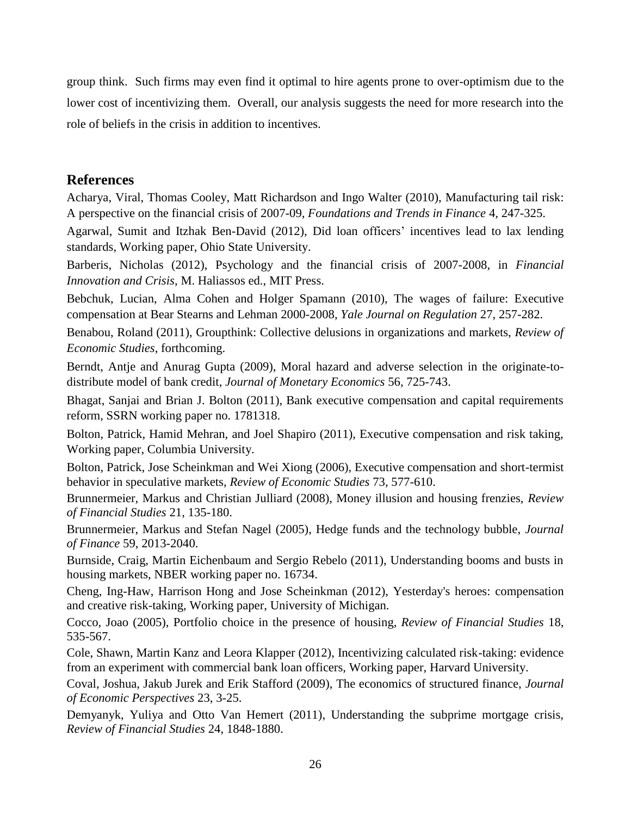group think. Such firms may even find it optimal to hire agents prone to over-optimism due to the lower cost of incentivizing them. Overall, our analysis suggests the need for more research into the role of beliefs in the crisis in addition to incentives.

# **References**

Acharya, Viral, Thomas Cooley, Matt Richardson and Ingo Walter (2010), Manufacturing tail risk: A perspective on the financial crisis of 2007-09, *Foundations and Trends in Finance* 4*,* 247-325.

Agarwal, Sumit and Itzhak Ben-David (2012), Did loan officers' incentives lead to lax lending standards, Working paper, Ohio State University.

Barberis, Nicholas (2012), Psychology and the financial crisis of 2007-2008, in *Financial Innovation and Crisis*, M. Haliassos ed., MIT Press.

Bebchuk, Lucian, Alma Cohen and Holger Spamann (2010), The wages of failure: Executive compensation at Bear Stearns and Lehman 2000-2008, *Yale Journal on Regulation* 27, 257-282.

Benabou, Roland (2011), Groupthink: Collective delusions in organizations and markets, *Review of Economic Studies*, forthcoming.

Berndt, Antje and Anurag Gupta (2009), Moral hazard and adverse selection in the originate-todistribute model of bank credit, *Journal of Monetary Economics* 56, 725-743.

Bhagat, Sanjai and Brian J. Bolton (2011), Bank executive compensation and capital requirements reform, SSRN working paper no. 1781318.

Bolton, Patrick, Hamid Mehran, and Joel Shapiro (2011), Executive compensation and risk taking, Working paper, Columbia University.

Bolton, Patrick, Jose Scheinkman and Wei Xiong (2006), Executive compensation and short-termist behavior in speculative markets, *Review of Economic Studies* 73, 577-610.

Brunnermeier, Markus and Christian Julliard (2008), Money illusion and housing frenzies, *Review of Financial Studies* 21, 135-180.

Brunnermeier, Markus and Stefan Nagel (2005), Hedge funds and the technology bubble, *Journal of Finance* 59, 2013-2040.

Burnside, Craig, Martin Eichenbaum and Sergio Rebelo (2011), Understanding booms and busts in housing markets, NBER working paper no. 16734.

Cheng, Ing-Haw, Harrison Hong and Jose Scheinkman (2012), Yesterday's heroes: compensation and creative risk-taking, Working paper, University of Michigan.

Cocco, Joao (2005), Portfolio choice in the presence of housing, *Review of Financial Studies* 18, 535-567.

Cole, Shawn, Martin Kanz and Leora Klapper (2012), Incentivizing calculated risk-taking: evidence from an experiment with commercial bank loan officers, Working paper, Harvard University.

Coval, Joshua, Jakub Jurek and Erik Stafford (2009), The economics of structured finance, *Journal of Economic Perspectives* 23, 3-25.

Demyanyk, Yuliya and Otto Van Hemert (2011), Understanding the subprime mortgage crisis, *Review of Financial Studies* 24, 1848-1880.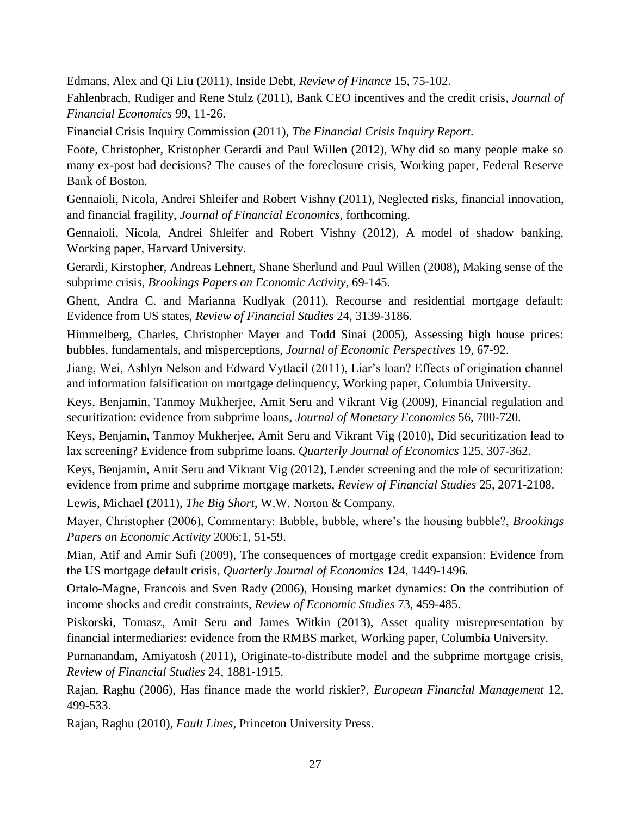Edmans, Alex and Qi Liu (2011), Inside Debt, *Review of Finance* 15, 75-102.

Fahlenbrach, Rudiger and Rene Stulz (2011), Bank CEO incentives and the credit crisis, *Journal of Financial Economics* 99, 11-26.

Financial Crisis Inquiry Commission (2011), *The Financial Crisis Inquiry Report*.

Foote, Christopher, Kristopher Gerardi and Paul Willen (2012), Why did so many people make so many ex-post bad decisions? The causes of the foreclosure crisis, Working paper, Federal Reserve Bank of Boston.

Gennaioli, Nicola, Andrei Shleifer and Robert Vishny (2011), Neglected risks, financial innovation, and financial fragility, *Journal of Financial Economics,* forthcoming.

Gennaioli, Nicola, Andrei Shleifer and Robert Vishny (2012), A model of shadow banking, Working paper, Harvard University.

Gerardi, Kirstopher, Andreas Lehnert, Shane Sherlund and Paul Willen (2008), Making sense of the subprime crisis, *Brookings Papers on Economic Activity*, 69-145.

Ghent, Andra C. and Marianna Kudlyak (2011), Recourse and residential mortgage default: Evidence from US states, *Review of Financial Studies* 24, 3139-3186.

Himmelberg, Charles, Christopher Mayer and Todd Sinai (2005), Assessing high house prices: bubbles, fundamentals, and misperceptions, *Journal of Economic Perspectives* 19, 67-92.

Jiang, Wei, Ashlyn Nelson and Edward Vytlacil (2011), Liar's loan? Effects of origination channel and information falsification on mortgage delinquency, Working paper, Columbia University.

Keys, Benjamin, Tanmoy Mukherjee, Amit Seru and Vikrant Vig (2009), Financial regulation and securitization: evidence from subprime loans, *Journal of Monetary Economics* 56, 700-720.

Keys, Benjamin, Tanmoy Mukherjee, Amit Seru and Vikrant Vig (2010), Did securitization lead to lax screening? Evidence from subprime loans, *Quarterly Journal of Economics* 125, 307-362.

Keys, Benjamin, Amit Seru and Vikrant Vig (2012), Lender screening and the role of securitization: evidence from prime and subprime mortgage markets, *Review of Financial Studies* 25, 2071-2108.

Lewis, Michael (2011), *The Big Short,* W.W. Norton & Company.

Mayer, Christopher (2006), Commentary: Bubble, bubble, where's the housing bubble?, *Brookings Papers on Economic Activity* 2006:1, 51-59.

Mian, Atif and Amir Sufi (2009), The consequences of mortgage credit expansion: Evidence from the US mortgage default crisis, *Quarterly Journal of Economics* 124, 1449-1496.

Ortalo-Magne, Francois and Sven Rady (2006), Housing market dynamics: On the contribution of income shocks and credit constraints, *Review of Economic Studies* 73, 459-485.

Piskorski, Tomasz, Amit Seru and James Witkin (2013), Asset quality misrepresentation by financial intermediaries: evidence from the RMBS market, Working paper, Columbia University.

Purnanandam, Amiyatosh (2011), Originate-to-distribute model and the subprime mortgage crisis, *Review of Financial Studies* 24, 1881-1915.

Rajan, Raghu (2006), Has finance made the world riskier?, *European Financial Management* 12, 499-533.

Rajan, Raghu (2010), *Fault Lines,* Princeton University Press.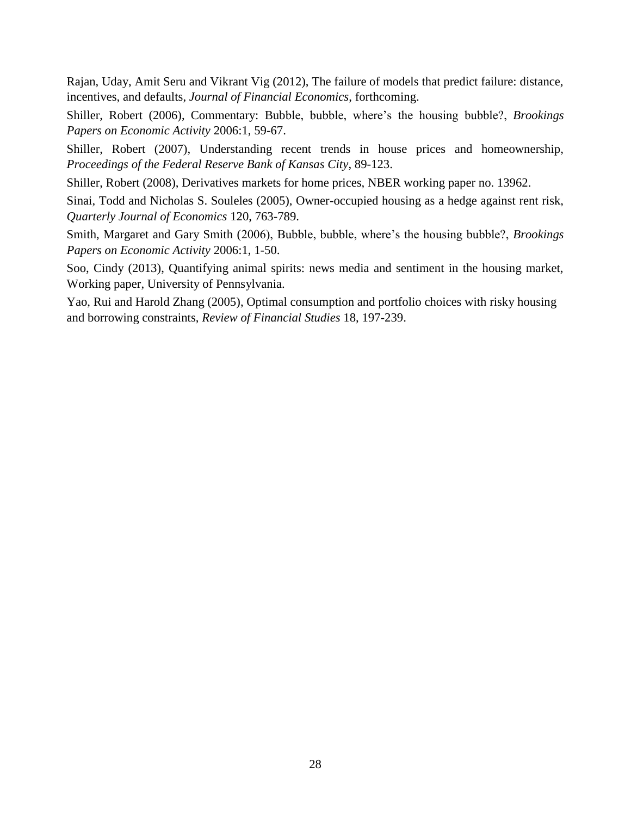Rajan, Uday, Amit Seru and Vikrant Vig (2012), The failure of models that predict failure: distance, incentives, and defaults, *Journal of Financial Economics*, forthcoming.

Shiller, Robert (2006), Commentary: Bubble, bubble, where's the housing bubble?, *Brookings Papers on Economic Activity* 2006:1, 59-67.

Shiller, Robert (2007), Understanding recent trends in house prices and homeownership, *Proceedings of the Federal Reserve Bank of Kansas City*, 89-123.

Shiller, Robert (2008), Derivatives markets for home prices, NBER working paper no. 13962.

Sinai, Todd and Nicholas S. Souleles (2005), Owner-occupied housing as a hedge against rent risk, *Quarterly Journal of Economics* 120, 763-789.

Smith, Margaret and Gary Smith (2006), Bubble, bubble, where's the housing bubble?, *Brookings Papers on Economic Activity* 2006:1, 1-50.

Soo, Cindy (2013), Quantifying animal spirits: news media and sentiment in the housing market, Working paper, University of Pennsylvania.

Yao, Rui and Harold Zhang (2005), Optimal consumption and portfolio choices with risky housing and borrowing constraints, *Review of Financial Studies* 18, 197-239.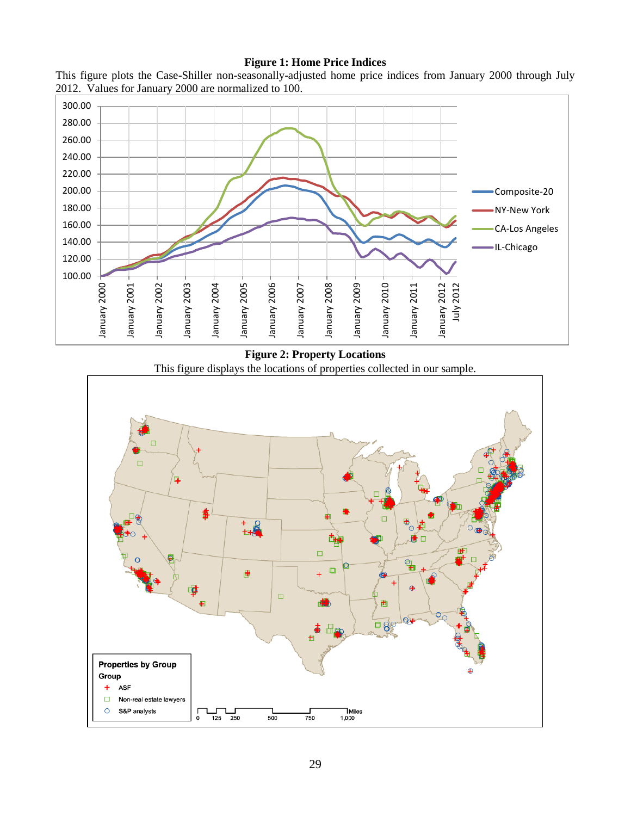

**Figure 1: Home Price Indices** This figure plots the Case-Shiller non-seasonally-adjusted home price indices from January 2000 through July 2012. Values for January 2000 are normalized to 100.

**Figure 2: Property Locations** This figure displays the locations of properties collected in our sample.

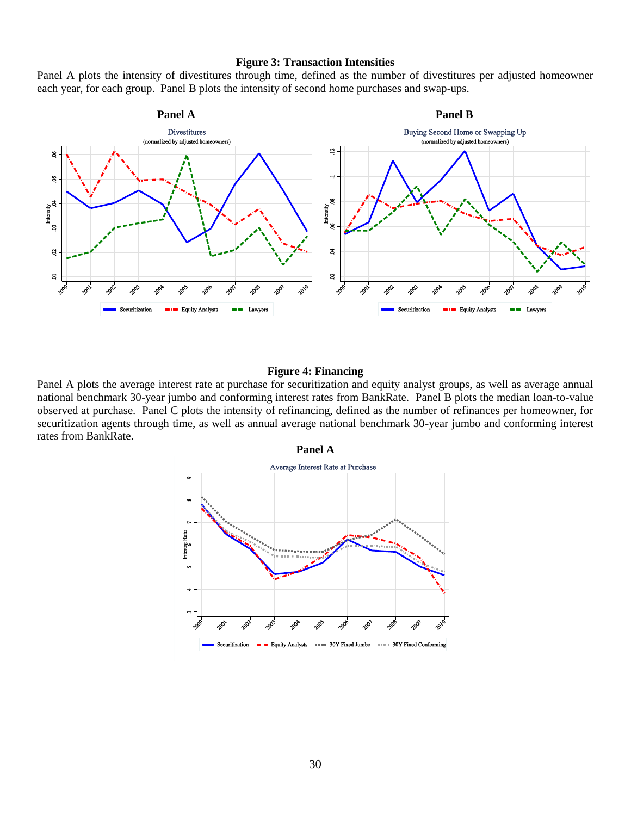#### **Figure 3: Transaction Intensities**

Panel A plots the intensity of divestitures through time, defined as the number of divestitures per adjusted homeowner each year, for each group. Panel B plots the intensity of second home purchases and swap-ups.



#### **Figure 4: Financing**

Panel A plots the average interest rate at purchase for securitization and equity analyst groups, as well as average annual national benchmark 30-year jumbo and conforming interest rates from BankRate. Panel B plots the median loan-to-value observed at purchase. Panel C plots the intensity of refinancing, defined as the number of refinances per homeowner, for securitization agents through time, as well as annual average national benchmark 30-year jumbo and conforming interest rates from BankRate.

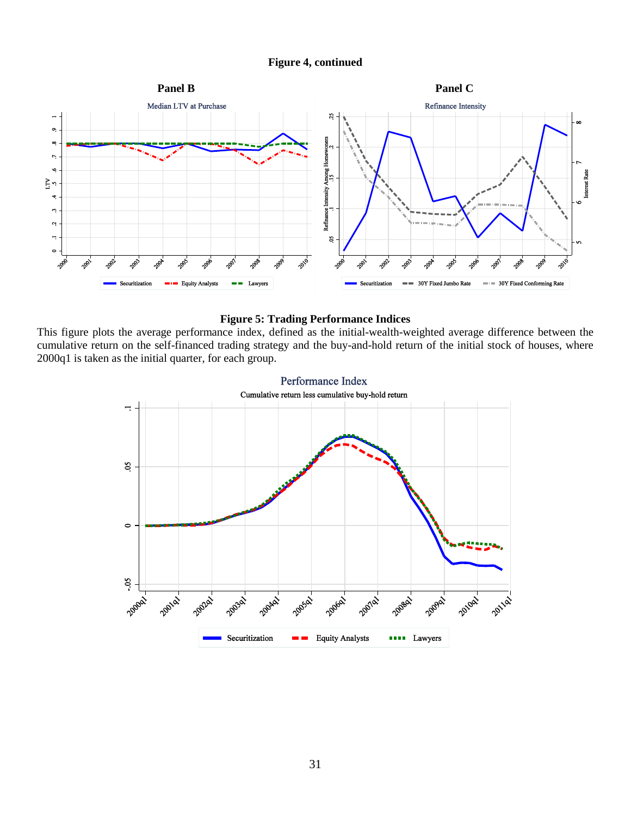#### **Figure 4, continued**





This figure plots the average performance index, defined as the initial-wealth-weighted average difference between the cumulative return on the self-financed trading strategy and the buy-and-hold return of the initial stock of houses, where 2000q1 is taken as the initial quarter, for each group.

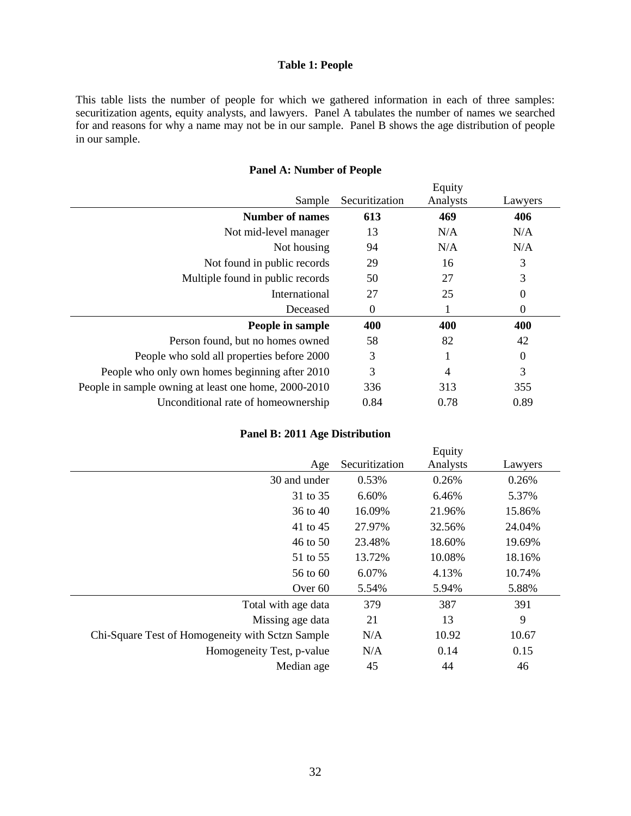# **Table 1: People**

This table lists the number of people for which we gathered information in each of three samples: securitization agents, equity analysts, and lawyers. Panel A tabulates the number of names we searched for and reasons for why a name may not be in our sample. Panel B shows the age distribution of people in our sample.

|                                                      |                | Equity   |                |
|------------------------------------------------------|----------------|----------|----------------|
| Sample                                               | Securitization | Analysts | Lawyers        |
| Number of names                                      | 613            | 469      | 406            |
| Not mid-level manager                                | 13             | N/A      | N/A            |
| Not housing                                          | 94             | N/A      | N/A            |
| Not found in public records                          | 29             | 16       | 3              |
| Multiple found in public records                     | 50             | 27       | 3              |
| International                                        | 27             | 25       | $\theta$       |
| Deceased                                             | $\overline{0}$ |          | $\Omega$       |
| People in sample                                     | 400            | 400      | 400            |
| Person found, but no homes owned                     | 58             | 82       | 42             |
| People who sold all properties before 2000           | 3              |          | $\overline{0}$ |
| People who only own homes beginning after 2010       | 3              | 4        | 3              |
| People in sample owning at least one home, 2000-2010 | 336            | 313      | 355            |
| Unconditional rate of homeownership                  | 0.84           | 0.78     | 0.89           |

# **Panel A: Number of People**

### **Panel B: 2011 Age Distribution**

|                                                  | Equity         |          |         |  |  |
|--------------------------------------------------|----------------|----------|---------|--|--|
| Age                                              | Securitization | Analysts | Lawyers |  |  |
| 30 and under                                     | 0.53%          | 0.26%    | 0.26%   |  |  |
| 31 to 35                                         | 6.60%          | 6.46%    | 5.37%   |  |  |
| 36 to 40                                         | 16.09%         | 21.96%   | 15.86%  |  |  |
| 41 to 45                                         | 27.97%         | 32.56%   | 24.04%  |  |  |
| 46 to 50                                         | 23.48%         | 18.60%   | 19.69%  |  |  |
| 51 to 55                                         | 13.72%         | 10.08%   | 18.16%  |  |  |
| 56 to 60                                         | 6.07%          | 4.13%    | 10.74%  |  |  |
| Over 60                                          | 5.54%          | 5.94%    | 5.88%   |  |  |
| Total with age data                              | 379            | 387      | 391     |  |  |
| Missing age data                                 | 21             | 13       | 9       |  |  |
| Chi-Square Test of Homogeneity with Sctzn Sample | N/A            | 10.92    | 10.67   |  |  |
| Homogeneity Test, p-value                        | N/A            | 0.14     | 0.15    |  |  |
| Median age                                       | 45             | 44       | 46      |  |  |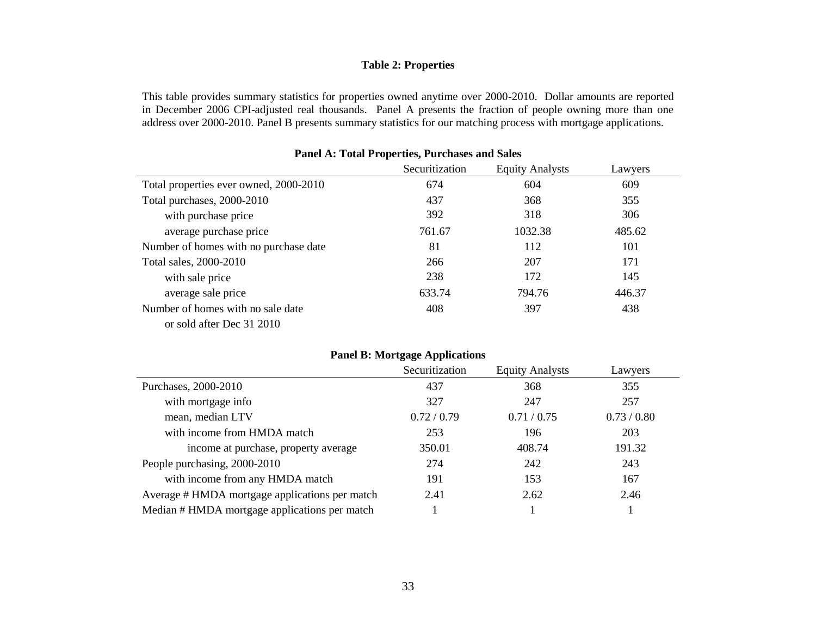# **Table 2: Properties**

This table provides summary statistics for properties owned anytime over 2000-2010. Dollar amounts are reported in December 2006 CPI-adjusted real thousands. Panel A presents the fraction of people owning more than one address over 2000-2010. Panel B presents summary statistics for our matching process with mortgage applications.

|                                        | Securitization | <b>Equity Analysts</b> | Lawyers |
|----------------------------------------|----------------|------------------------|---------|
| Total properties ever owned, 2000-2010 | 674            | 604                    | 609     |
| Total purchases, 2000-2010             | 437            | 368                    | 355     |
| with purchase price                    | 392            | 318                    | 306     |
| average purchase price                 | 761.67         | 1032.38                | 485.62  |
| Number of homes with no purchase date  | 81             | 112                    | 101     |
| Total sales, 2000-2010                 | 266            | 207                    | 171     |
| with sale price                        | 238            | 172                    | 145     |
| average sale price                     | 633.74         | 794.76                 | 446.37  |
| Number of homes with no sale date      | 408            | 397                    | 438     |
| or sold after Dec 31 2010              |                |                        |         |

# **Panel A: Total Properties, Purchases and Sales**

| r aner D; mortgage Applications                |                |                        |             |  |  |  |
|------------------------------------------------|----------------|------------------------|-------------|--|--|--|
|                                                | Securitization | <b>Equity Analysts</b> | Lawyers     |  |  |  |
| Purchases, 2000-2010                           | 437            | 368                    | 355         |  |  |  |
| with mortgage info                             | 327            | 247                    | 257         |  |  |  |
| mean, median LTV                               | 0.72 / 0.79    | 0.71/0.75              | 0.73 / 0.80 |  |  |  |
| with income from HMDA match                    | 253            | 196                    | 203         |  |  |  |
| income at purchase, property average           | 350.01         | 408.74                 | 191.32      |  |  |  |
| People purchasing, 2000-2010                   | 274            | 242                    | 243         |  |  |  |
| with income from any HMDA match                | 191            | 153                    | 167         |  |  |  |
| Average # HMDA mortgage applications per match | 2.41           | 2.62                   | 2.46        |  |  |  |
| Median # HMDA mortgage applications per match  |                |                        |             |  |  |  |

# Panel R: Mortgage Applications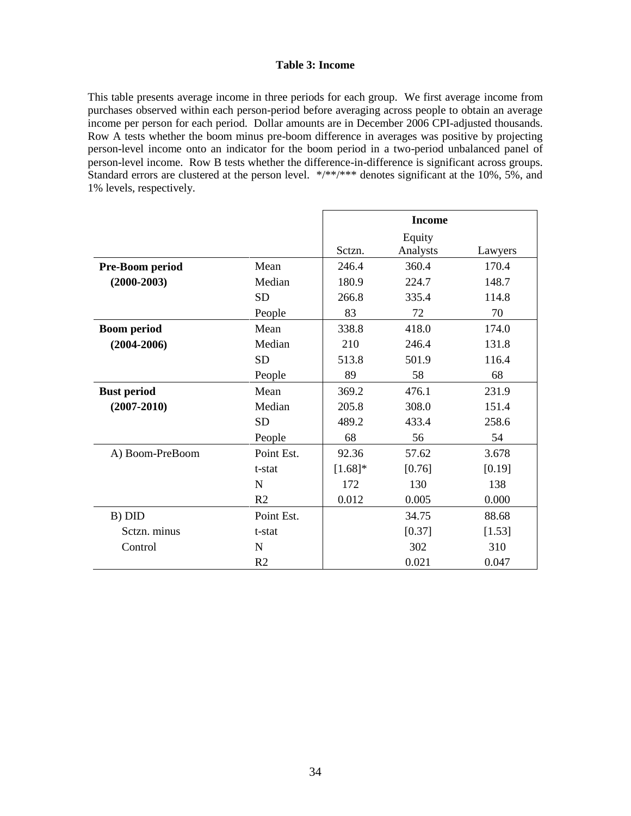### **Table 3: Income**

This table presents average income in three periods for each group. We first average income from purchases observed within each person-period before averaging across people to obtain an average income per person for each period. Dollar amounts are in December 2006 CPI-adjusted thousands. Row A tests whether the boom minus pre-boom difference in averages was positive by projecting person-level income onto an indicator for the boom period in a two-period unbalanced panel of person-level income. Row B tests whether the difference-in-difference is significant across groups. Standard errors are clustered at the person level. \*/\*\*/\*\*\* denotes significant at the 10%, 5%, and 1% levels, respectively.

|                    |                |            | <b>Income</b> |         |
|--------------------|----------------|------------|---------------|---------|
|                    |                |            | Equity        |         |
|                    |                | Sctzn.     | Analysts      | Lawyers |
| Pre-Boom period    | Mean           | 246.4      | 360.4         | 170.4   |
| $(2000-2003)$      | Median         | 180.9      | 224.7         | 148.7   |
|                    | <b>SD</b>      | 266.8      | 335.4         | 114.8   |
|                    | People         | 83         | 72            | 70      |
| <b>Boom period</b> | Mean           | 338.8      | 418.0         | 174.0   |
| $(2004 - 2006)$    | Median         | 210        | 246.4         | 131.8   |
|                    | <b>SD</b>      | 513.8      | 501.9         | 116.4   |
|                    | People         | 89         | 58            | 68      |
| <b>Bust period</b> | Mean           | 369.2      | 476.1         | 231.9   |
| $(2007 - 2010)$    | Median         | 205.8      | 308.0         | 151.4   |
|                    | <b>SD</b>      | 489.2      | 433.4         | 258.6   |
|                    | People         | 68         | 56            | 54      |
| A) Boom-PreBoom    | Point Est.     | 92.36      | 57.62         | 3.678   |
|                    | t-stat         | $[1.68]$ * | [0.76]        | [0.19]  |
|                    | N              | 172        | 130           | 138     |
|                    | R <sub>2</sub> | 0.012      | 0.005         | 0.000   |
| B) DID             | Point Est.     |            | 34.75         | 88.68   |
| Sctzn. minus       | t-stat         |            | [0.37]        | [1.53]  |
| Control            | N              |            | 302           | 310     |
|                    | R <sub>2</sub> |            | 0.021         | 0.047   |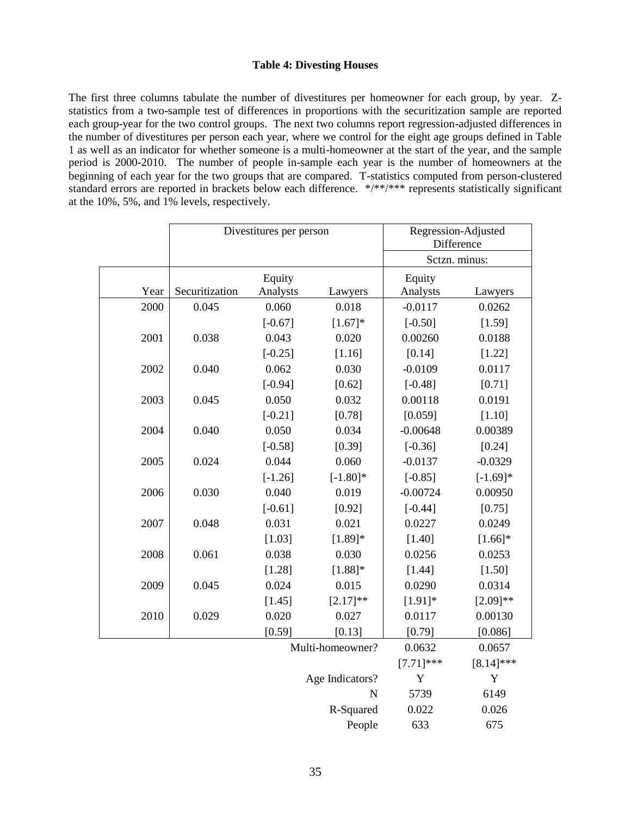#### **Table 4: Divesting Houses**

The first three columns tabulate the number of divestitures per homeowner for each group, by year. Zstatistics from a two-sample test of differences in proportions with the securitization sample are reported each group-year for the two control groups. The next two columns report regression-adjusted differences in the number of divestitures per person each year, where we control for the eight age groups defined in Table 1 as well as an indicator for whether someone is a multi-homeowner at the start of the year, and the sample period is 2000-2010. The number of people in-sample each year is the number of homeowners at the beginning of each year for the two groups that are compared. T-statistics computed from person-clustered standard errors are reported in brackets below each difference. \*/\*\*/\*\*\* represents statistically significant at the 10%, 5%, and 1% levels, respectively.

|      | Divestitures per person |                    |                  | Regression-Adjusted<br>Difference |               |  |
|------|-------------------------|--------------------|------------------|-----------------------------------|---------------|--|
|      |                         |                    |                  |                                   | Sctzn. minus: |  |
|      |                         |                    |                  |                                   |               |  |
| Year | Securitization          | Equity<br>Analysts | Lawyers          | Equity<br>Analysts                | Lawyers       |  |
| 2000 | 0.045                   | 0.060              | 0.018            | $-0.0117$                         | 0.0262        |  |
|      |                         | $[-0.67]$          | $[1.67]*$        | $[-0.50]$                         | [1.59]        |  |
| 2001 | 0.038                   | 0.043              | 0.020            | 0.00260                           | 0.0188        |  |
|      |                         | $[-0.25]$          | [1.16]           | [0.14]                            | [1.22]        |  |
| 2002 | 0.040                   | 0.062              | 0.030            | $-0.0109$                         | 0.0117        |  |
|      |                         | $[-0.94]$          | [0.62]           | $[-0.48]$                         | [0.71]        |  |
| 2003 | 0.045                   | 0.050              | 0.032            | 0.00118                           | 0.0191        |  |
|      |                         | $[-0.21]$          | [0.78]           | [0.059]                           | [1.10]        |  |
| 2004 | 0.040                   | 0.050              | 0.034            | $-0.00648$                        | 0.00389       |  |
|      |                         | $[-0.58]$          | [0.39]           | $[-0.36]$                         | [0.24]        |  |
| 2005 | 0.024                   | 0.044              | 0.060            | $-0.0137$                         | $-0.0329$     |  |
|      |                         | $[-1.26]$          | $[-1.80]$ *      | $[-0.85]$                         | $[-1.69]*$    |  |
| 2006 | 0.030                   | 0.040              | 0.019            | $-0.00724$                        | 0.00950       |  |
|      |                         | $[-0.61]$          | [0.92]           | $[-0.44]$                         | [0.75]        |  |
| 2007 | 0.048                   | 0.031              | 0.021            | 0.0227                            | 0.0249        |  |
|      |                         | [1.03]             | $[1.89]*$        | [1.40]                            | $[1.66]$ *    |  |
| 2008 | 0.061                   | 0.038              | 0.030            | 0.0256                            | 0.0253        |  |
|      |                         | [1.28]             | $[1.88]$ *       | [1.44]                            | [1.50]        |  |
| 2009 | 0.045                   | 0.024              | 0.015            | 0.0290                            | 0.0314        |  |
|      |                         | [1.45]             | $[2.17]$ **      | $[1.91]$ *                        | $[2.09]$ **   |  |
| 2010 | 0.029                   | 0.020              | 0.027            | 0.0117                            | 0.00130       |  |
|      |                         | [0.59]             | [0.13]           | [0.79]                            | [0.086]       |  |
|      |                         |                    | Multi-homeowner? | 0.0632                            | 0.0657        |  |
|      |                         |                    |                  | $[7.71]$ ***                      | $[8.14]$ ***  |  |
|      |                         |                    | Age Indicators?  | Y                                 | Y             |  |
|      |                         |                    | N                | 5739                              | 6149          |  |
|      |                         |                    | R-Squared        | 0.022                             | 0.026         |  |
|      |                         |                    | People           | 633                               | 675           |  |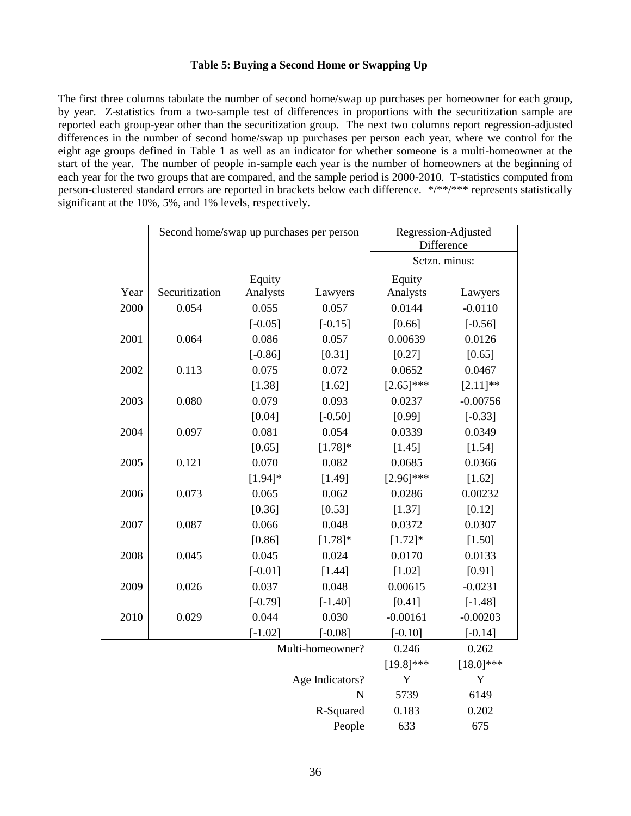### **Table 5: Buying a Second Home or Swapping Up**

The first three columns tabulate the number of second home/swap up purchases per homeowner for each group, by year. Z-statistics from a two-sample test of differences in proportions with the securitization sample are reported each group-year other than the securitization group. The next two columns report regression-adjusted differences in the number of second home/swap up purchases per person each year, where we control for the eight age groups defined in Table 1 as well as an indicator for whether someone is a multi-homeowner at the start of the year. The number of people in-sample each year is the number of homeowners at the beginning of each year for the two groups that are compared, and the sample period is 2000-2010. T-statistics computed from person-clustered standard errors are reported in brackets below each difference. \*/\*\*/\*\*\* represents statistically significant at the 10%, 5%, and 1% levels, respectively.

|      |                | Second home/swap up purchases per person |                  | Regression-Adjusted<br>Difference |               |  |
|------|----------------|------------------------------------------|------------------|-----------------------------------|---------------|--|
|      |                |                                          |                  |                                   | Sctzn. minus: |  |
|      |                | Equity                                   |                  | Equity                            |               |  |
| Year | Securitization | Analysts                                 | Lawyers          | Analysts                          | Lawyers       |  |
| 2000 | 0.054          | 0.055                                    | 0.057            | 0.0144                            | $-0.0110$     |  |
|      |                | $[-0.05]$                                | $[-0.15]$        | [0.66]                            | $[-0.56]$     |  |
| 2001 | 0.064          | 0.086                                    | 0.057            | 0.00639                           | 0.0126        |  |
|      |                | $[-0.86]$                                | [0.31]           | [0.27]                            | [0.65]        |  |
| 2002 | 0.113          | 0.075                                    | 0.072            | 0.0652                            | 0.0467        |  |
|      |                | [1.38]                                   | [1.62]           | $[2.65]$ ***                      | $[2.11]$ **   |  |
| 2003 | 0.080          | 0.079                                    | 0.093            | 0.0237                            | $-0.00756$    |  |
|      |                | [0.04]                                   | $[-0.50]$        | [0.99]                            | $[-0.33]$     |  |
| 2004 | 0.097          | 0.081                                    | 0.054            | 0.0339                            | 0.0349        |  |
|      |                | [0.65]                                   | $[1.78]$ *       | [1.45]                            | [1.54]        |  |
| 2005 | 0.121          | 0.070                                    | 0.082            | 0.0685                            | 0.0366        |  |
|      |                | $[1.94]$ *                               | [1.49]           | $[2.96]$ ***                      | [1.62]        |  |
| 2006 | 0.073          | 0.065                                    | 0.062            | 0.0286                            | 0.00232       |  |
|      |                | [0.36]                                   | [0.53]           | [1.37]                            | [0.12]        |  |
| 2007 | 0.087          | 0.066                                    | 0.048            | 0.0372                            | 0.0307        |  |
|      |                | [0.86]                                   | $[1.78]$ *       | $[1.72]$ *                        | [1.50]        |  |
| 2008 | 0.045          | 0.045                                    | 0.024            | 0.0170                            | 0.0133        |  |
|      |                | $[-0.01]$                                | [1.44]           | [1.02]                            | [0.91]        |  |
| 2009 | 0.026          | 0.037                                    | 0.048            | 0.00615                           | $-0.0231$     |  |
|      |                | $[-0.79]$                                | $[-1.40]$        | [0.41]                            | $[-1.48]$     |  |
| 2010 | 0.029          | 0.044                                    | 0.030            | $-0.00161$                        | $-0.00203$    |  |
|      |                | $[-1.02]$                                | $[-0.08]$        | $[-0.10]$                         | $[-0.14]$     |  |
|      |                |                                          | Multi-homeowner? | 0.246                             | 0.262         |  |
|      |                |                                          |                  | $[19.8]$ ***                      | $[18.0]$ ***  |  |
|      |                |                                          | Age Indicators?  | Y                                 | Y             |  |
|      |                |                                          | $\mathbf N$      | 5739                              | 6149          |  |
|      |                |                                          | R-Squared        | 0.183                             | 0.202         |  |

People 633 675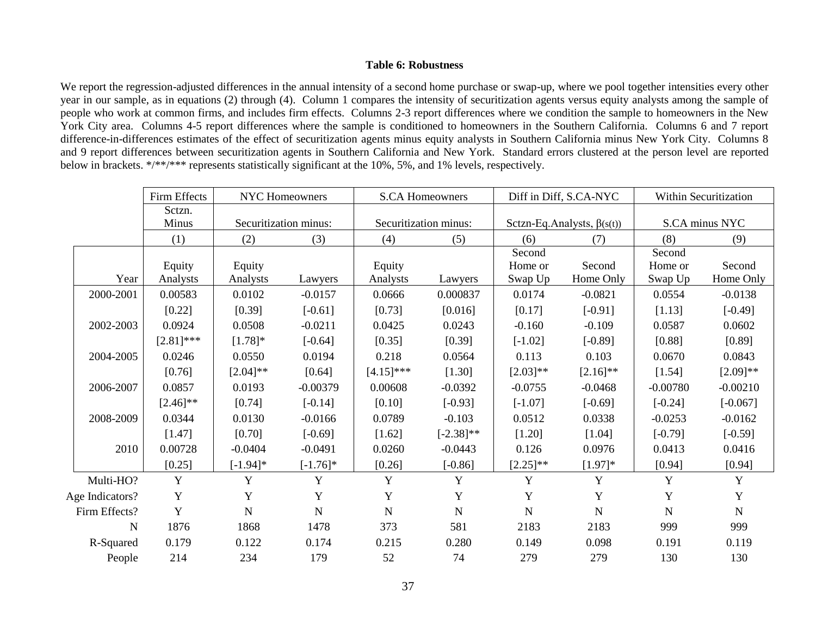#### **Table 6: Robustness**

We report the regression-adjusted differences in the annual intensity of a second home purchase or swap-up, where we pool together intensities every other year in our sample, as in equations (2) through (4). Column 1 compares the intensity of securitization agents versus equity analysts among the sample of people who work at common firms, and includes firm effects. Columns 2-3 report differences where we condition the sample to homeowners in the New York City area. Columns 4-5 report differences where the sample is conditioned to homeowners in the Southern California. Columns 6 and 7 report difference-in-differences estimates of the effect of securitization agents minus equity analysts in Southern California minus New York City. Columns 8 and 9 report differences between securitization agents in Southern California and New York. Standard errors clustered at the person level are reported below in brackets. \*/\*\*/\*\*\* represents statistically significant at the 10%, 5%, and 1% levels, respectively.

|                 | Firm Effects       | NYC Homeowners        |             | S.CA Homeowners    |                       | Diff in Diff, S.CA-NYC |                                  | Within Securitization |                     |
|-----------------|--------------------|-----------------------|-------------|--------------------|-----------------------|------------------------|----------------------------------|-----------------------|---------------------|
|                 | Sctzn.<br>Minus    | Securitization minus: |             |                    | Securitization minus: |                        | Sctzn-Eq.Analysts, $\beta(s(t))$ |                       | S.CA minus NYC      |
|                 | (1)                | (2)                   | (3)         | (4)                | (5)                   | (6)                    | (7)                              | (8)                   | (9)                 |
|                 |                    |                       |             |                    |                       | Second                 |                                  | Second                |                     |
| Year            | Equity<br>Analysts | Equity<br>Analysts    | Lawyers     | Equity<br>Analysts | Lawyers               | Home or<br>Swap Up     | Second<br>Home Only              | Home or<br>Swap Up    | Second<br>Home Only |
| 2000-2001       | 0.00583            | 0.0102                | $-0.0157$   | 0.0666             | 0.000837              | 0.0174                 | $-0.0821$                        | 0.0554                | $-0.0138$           |
|                 |                    |                       |             |                    |                       |                        |                                  |                       |                     |
|                 | [0.22]             | [0.39]                | $[-0.61]$   | [0.73]             | [0.016]               | [0.17]                 | $[-0.91]$                        | [1.13]                | $[-0.49]$           |
| 2002-2003       | 0.0924             | 0.0508                | $-0.0211$   | 0.0425             | 0.0243                | $-0.160$               | $-0.109$                         | 0.0587                | 0.0602              |
|                 | $[2.81]$ ***       | $[1.78]$ *            | $[-0.64]$   | [0.35]             | [0.39]                | $[-1.02]$              | $[-0.89]$                        | [0.88]                | [0.89]              |
| 2004-2005       | 0.0246             | 0.0550                | 0.0194      | 0.218              | 0.0564                | 0.113                  | 0.103                            | 0.0670                | 0.0843              |
|                 | [0.76]             | $[2.04]$ **           | [0.64]      | $[4.15]$ ***       | [1.30]                | $[2.03]$ **            | $[2.16]$ **                      | [1.54]                | $[2.09]$ **         |
| 2006-2007       | 0.0857             | 0.0193                | $-0.00379$  | 0.00608            | $-0.0392$             | $-0.0755$              | $-0.0468$                        | $-0.00780$            | $-0.00210$          |
|                 | $[2.46]$ **        | [0.74]                | $[-0.14]$   | [0.10]             | $[-0.93]$             | $[-1.07]$              | $[-0.69]$                        | $[-0.24]$             | $[-0.067]$          |
| 2008-2009       | 0.0344             | 0.0130                | $-0.0166$   | 0.0789             | $-0.103$              | 0.0512                 | 0.0338                           | $-0.0253$             | $-0.0162$           |
|                 | [1.47]             | [0.70]                | $[-0.69]$   | [1.62]             | $[-2.38]$ **          | $[1.20]$               | [1.04]                           | $[-0.79]$             | $[-0.59]$           |
| 2010            | 0.00728            | $-0.0404$             | $-0.0491$   | 0.0260             | $-0.0443$             | 0.126                  | 0.0976                           | 0.0413                | 0.0416              |
|                 | [0.25]             | $[-1.94]$ *           | $[-1.76]$ * | [0.26]             | $[-0.86]$             | $[2.25]$ **            | $[1.97]*$                        | [0.94]                | [0.94]              |
| Multi-HO?       | Y                  | Y                     | Y           | Y                  | Y                     | Y                      | Y                                | Y                     | Y                   |
| Age Indicators? | Y                  | Y                     | Y           | Y                  | Y                     | Y                      | Y                                | Y                     | Y                   |
| Firm Effects?   | Y                  | $\mathbf N$           | $\mathbf N$ | $\mathbf N$        | $\mathbf N$           | $\mathbf N$            | ${\bf N}$                        | N                     | $\mathbf N$         |
| $\mathbf N$     | 1876               | 1868                  | 1478        | 373                | 581                   | 2183                   | 2183                             | 999                   | 999                 |
| R-Squared       | 0.179              | 0.122                 | 0.174       | 0.215              | 0.280                 | 0.149                  | 0.098                            | 0.191                 | 0.119               |
| People          | 214                | 234                   | 179         | 52                 | 74                    | 279                    | 279                              | 130                   | 130                 |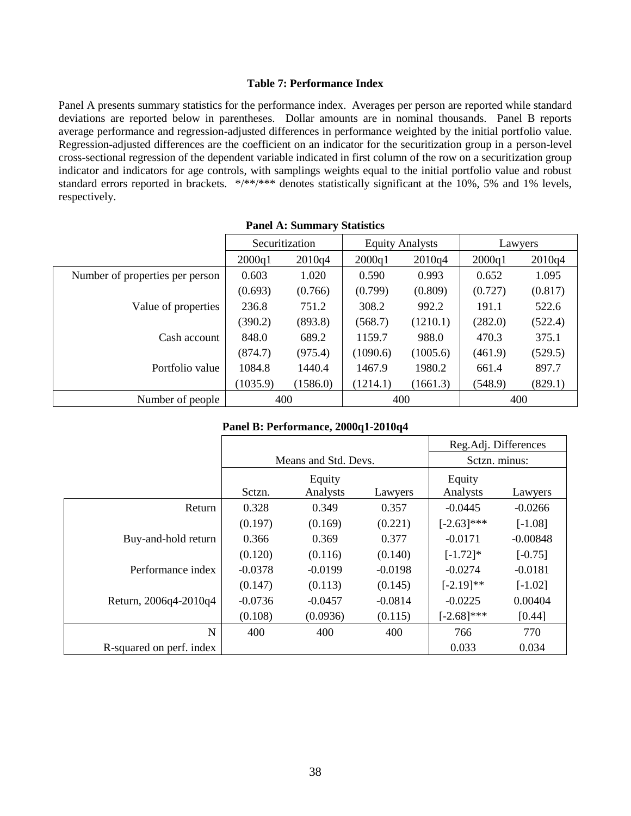#### **Table 7: Performance Index**

Panel A presents summary statistics for the performance index. Averages per person are reported while standard deviations are reported below in parentheses. Dollar amounts are in nominal thousands. Panel B reports average performance and regression-adjusted differences in performance weighted by the initial portfolio value. Regression-adjusted differences are the coefficient on an indicator for the securitization group in a person-level cross-sectional regression of the dependent variable indicated in first column of the row on a securitization group indicator and indicators for age controls, with samplings weights equal to the initial portfolio value and robust standard errors reported in brackets. \*/\*\*/\*\*\* denotes statistically significant at the 10%, 5% and 1% levels, respectively.

| r and in Banning y Baambres     |                |          |                        |          |         |         |  |  |  |
|---------------------------------|----------------|----------|------------------------|----------|---------|---------|--|--|--|
|                                 | Securitization |          | <b>Equity Analysts</b> |          | Lawyers |         |  |  |  |
|                                 | 2000q1         | 2010q4   | 2000q1                 | 2010q4   | 2000q1  | 2010q4  |  |  |  |
| Number of properties per person | 0.603          | 1.020    | 0.590                  | 0.993    | 0.652   | 1.095   |  |  |  |
|                                 | (0.693)        | (0.766)  | (0.799)                | (0.809)  | (0.727) | (0.817) |  |  |  |
| Value of properties             | 236.8          | 751.2    | 308.2                  | 992.2    | 191.1   | 522.6   |  |  |  |
|                                 | (390.2)        | (893.8)  | (568.7)                | (1210.1) | (282.0) | (522.4) |  |  |  |
| Cash account                    | 848.0          | 689.2    | 1159.7                 | 988.0    | 470.3   | 375.1   |  |  |  |
|                                 | (874.7)        | (975.4)  | (1090.6)               | (1005.6) | (461.9) | (529.5) |  |  |  |
| Portfolio value                 | 1084.8         | 1440.4   | 1467.9                 | 1980.2   | 661.4   | 897.7   |  |  |  |
|                                 | (1035.9)       | (1586.0) | (1214.1)               | (1661.3) | (548.9) | (829.1) |  |  |  |
| Number of people                | 400            |          | 400                    |          | 400     |         |  |  |  |

## **Panel A: Summary Statistics**

#### **Panel B: Performance, 2000q1-2010q4**

|                          |           |                      |           | Reg.Adj. Differences |            |
|--------------------------|-----------|----------------------|-----------|----------------------|------------|
|                          |           | Means and Std. Devs. |           | Sctzn. minus:        |            |
|                          | Sctzn.    | Equity<br>Analysts   | Lawyers   | Equity<br>Analysts   | Lawyers    |
| Return                   | 0.328     | 0.349                | 0.357     | $-0.0445$            | $-0.0266$  |
|                          | (0.197)   | (0.169)              | (0.221)   | $[-2.63]$ ***        | $[-1.08]$  |
| Buy-and-hold return      | 0.366     | 0.369                | 0.377     | $-0.0171$            | $-0.00848$ |
|                          | (0.120)   | (0.116)              | (0.140)   | $[-1.72]$ *          | $[-0.75]$  |
| Performance index        | $-0.0378$ | $-0.0199$            | $-0.0198$ | $-0.0274$            | $-0.0181$  |
|                          | (0.147)   | (0.113)              | (0.145)   | $[-2.19]$ **         | $[-1.02]$  |
| Return, 2006q4-2010q4    | $-0.0736$ | $-0.0457$            | $-0.0814$ | $-0.0225$            | 0.00404    |
|                          | (0.108)   | (0.0936)             | (0.115)   | $[-2.68]$ ***        | [0.44]     |
| $\mathbf N$              | 400       | 400                  | 400       | 766                  | 770        |
| R-squared on perf. index |           |                      |           | 0.033                | 0.034      |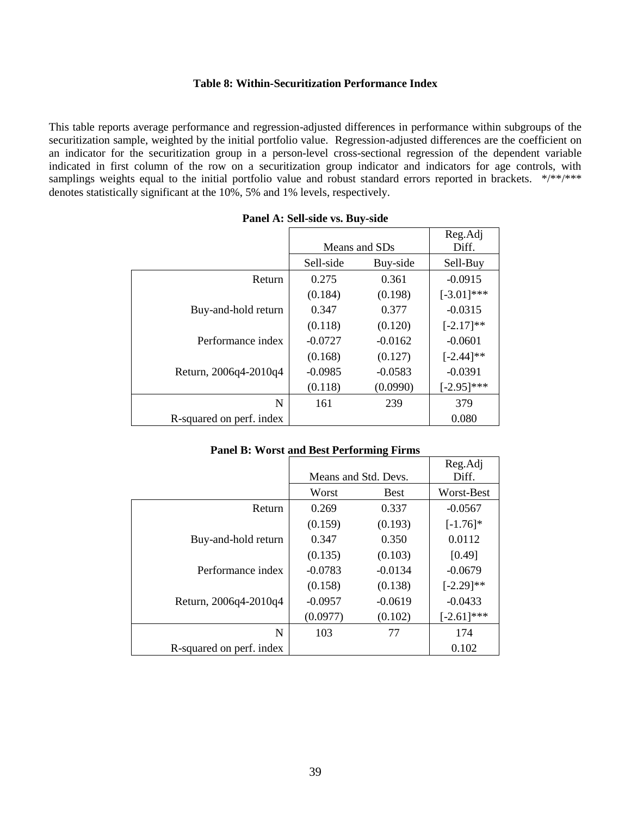#### **Table 8: Within-Securitization Performance Index**

This table reports average performance and regression-adjusted differences in performance within subgroups of the securitization sample, weighted by the initial portfolio value. Regression-adjusted differences are the coefficient on an indicator for the securitization group in a person-level cross-sectional regression of the dependent variable indicated in first column of the row on a securitization group indicator and indicators for age controls, with samplings weights equal to the initial portfolio value and robust standard errors reported in brackets. \*/\*\*/\*\*\* denotes statistically significant at the 10%, 5% and 1% levels, respectively.

|                          |           | Means and SDs |               |  |
|--------------------------|-----------|---------------|---------------|--|
|                          | Sell-side | Buy-side      | Sell-Buy      |  |
| Return                   | 0.275     | 0.361         | $-0.0915$     |  |
|                          | (0.184)   | (0.198)       | $[-3.01]$ *** |  |
| Buy-and-hold return      | 0.347     | 0.377         | $-0.0315$     |  |
|                          | (0.118)   | (0.120)       | $[-2.17]$ **  |  |
| Performance index        | $-0.0727$ | $-0.0162$     | $-0.0601$     |  |
|                          | (0.168)   | (0.127)       | $[-2.44]$ **  |  |
| Return, 2006q4-2010q4    | $-0.0985$ | $-0.0583$     | $-0.0391$     |  |
|                          | (0.118)   | (0.0990)      | $[-2.95]$ *** |  |
| N                        | 161       | 239           | 379           |  |
| R-squared on perf. index |           |               | 0.080         |  |

| Panel A: Sell-side vs. Buy-side |  |  |  |  |  |  |
|---------------------------------|--|--|--|--|--|--|
|---------------------------------|--|--|--|--|--|--|

|                          | Means and Std. Devs. |             | Reg.Adj<br>Diff. |
|--------------------------|----------------------|-------------|------------------|
|                          | Worst                | <b>Best</b> | Worst-Best       |
| Return                   | 0.269                | 0.337       | $-0.0567$        |
|                          | (0.159)              | (0.193)     | $[-1.76]$ *      |
| Buy-and-hold return      | 0.347                | 0.350       | 0.0112           |
|                          | (0.135)              | (0.103)     | [0.49]           |
| Performance index        | $-0.0783$            | $-0.0134$   | $-0.0679$        |
|                          | (0.158)              | (0.138)     | $[-2.29]$ **     |
| Return, 2006q4-2010q4    | $-0.0957$            | $-0.0619$   | $-0.0433$        |
|                          | (0.0977)             | (0.102)     | $[-2.61]$ ***    |
| N                        | 103                  | 77          | 174              |
| R-squared on perf. index |                      |             | 0.102            |

#### **Panel B: Worst and Best Performing Firms**